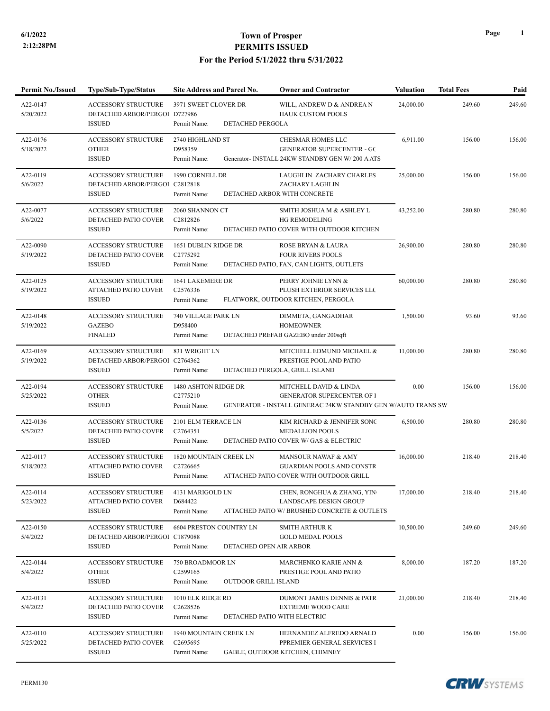| <b>Permit No./Issued</b> | Type/Sub-Type/Status                                                          | Site Address and Parcel No.                                                      | <b>Owner and Contractor</b>                                                                                                 | <b>Valuation</b> | <b>Total Fees</b> | Paid   |
|--------------------------|-------------------------------------------------------------------------------|----------------------------------------------------------------------------------|-----------------------------------------------------------------------------------------------------------------------------|------------------|-------------------|--------|
| A22-0147<br>5/20/2022    | <b>ACCESSORY STRUCTURE</b><br>DETACHED ARBOR/PERGOI D727986                   | 3971 SWEET CLOVER DR                                                             | WILL, ANDREW D & ANDREA N<br><b>HAUK CUSTOM POOLS</b>                                                                       | 24,000.00        | 249.60            | 249.60 |
|                          | <b>ISSUED</b>                                                                 | DETACHED PERGOLA<br>Permit Name:                                                 |                                                                                                                             |                  |                   |        |
| A22-0176<br>5/18/2022    | <b>ACCESSORY STRUCTURE</b><br><b>OTHER</b><br><b>ISSUED</b>                   | 2740 HIGHLAND ST<br>D958359<br>Permit Name:                                      | CHESMAR HOMES LLC<br><b>GENERATOR SUPERCENTER - GC</b><br>Generator- INSTALL 24KW STANDBY GEN W/200 A ATS                   | 6,911.00         | 156.00            | 156.00 |
| A22-0119<br>5/6/2022     | ACCESSORY STRUCTURE<br>DETACHED ARBOR/PERGOI C2812818<br><b>ISSUED</b>        | 1990 CORNELL DR<br>Permit Name:                                                  | LAUGHLIN ZACHARY CHARLES<br>ZACHARY LAGHLIN<br>DETACHED ARBOR WITH CONCRETE                                                 | 25,000.00        | 156.00            | 156.00 |
| A22-0077<br>5/6/2022     | <b>ACCESSORY STRUCTURE</b><br>DETACHED PATIO COVER<br><b>ISSUED</b>           | 2060 SHANNON CT<br>C2812826<br>Permit Name:                                      | SMITH JOSHUA M & ASHLEY L<br><b>HG REMODELING</b><br>DETACHED PATIO COVER WITH OUTDOOR KITCHEN                              | 43,252.00        | 280.80            | 280.80 |
| A22-0090<br>5/19/2022    | <b>ACCESSORY STRUCTURE</b><br>DETACHED PATIO COVER<br><b>ISSUED</b>           | 1651 DUBLIN RIDGE DR<br>C2775292<br>Permit Name:                                 | ROSE BRYAN & LAURA<br><b>FOUR RIVERS POOLS</b><br>DETACHED PATIO, FAN, CAN LIGHTS, OUTLETS                                  | 26,900.00        | 280.80            | 280.80 |
| A22-0125<br>5/19/2022    | ACCESSORY STRUCTURE<br>ATTACHED PATIO COVER<br><b>ISSUED</b>                  | 1641 LAKEMERE DR<br>C <sub>2576336</sub><br>Permit Name:                         | PERRY JOHNIE LYNN &<br>PLUSH EXTERIOR SERVICES LLC<br>FLATWORK, OUTDOOR KITCHEN, PERGOLA                                    | 60,000.00        | 280.80            | 280.80 |
| A22-0148<br>5/19/2022    | <b>ACCESSORY STRUCTURE</b><br><b>GAZEBO</b><br><b>FINALED</b>                 | 740 VILLAGE PARK LN<br>D958400<br>Permit Name:                                   | DIMMETA, GANGADHAR<br><b>HOMEOWNER</b><br>DETACHED PREFAB GAZEBO under 200sqft                                              | 1,500.00         | 93.60             | 93.60  |
| A22-0169<br>5/19/2022    | <b>ACCESSORY STRUCTURE</b><br>DETACHED ARBOR/PERGOI C2764362<br><b>ISSUED</b> | 831 WRIGHT LN<br>Permit Name:                                                    | MITCHELL EDMUND MICHAEL &<br>PRESTIGE POOL AND PATIO<br>DETACHED PERGOLA, GRILL ISLAND                                      | 11,000.00        | 280.80            | 280.80 |
| A22-0194<br>5/25/2022    | <b>ACCESSORY STRUCTURE</b><br><b>OTHER</b><br><b>ISSUED</b>                   | 1480 ASHTON RIDGE DR<br>C2775210<br>Permit Name:                                 | MITCHELL DAVID & LINDA<br><b>GENERATOR SUPERCENTER OF I</b><br>GENERATOR - INSTALL GENERAC 24KW STANDBY GEN W/AUTO TRANS SW | 0.00             | 156.00            | 156.00 |
|                          |                                                                               |                                                                                  |                                                                                                                             |                  |                   |        |
| A22-0136<br>5/5/2022     | <b>ACCESSORY STRUCTURE</b><br>DETACHED PATIO COVER<br><b>ISSUED</b>           | 2101 ELM TERRACE LN<br>C2764351<br>Permit Name:                                  | KIM RICHARD & JENNIFER SONC<br><b>MEDALLION POOLS</b><br>DETACHED PATIO COVER W/ GAS & ELECTRIC                             | 6,500.00         | 280.80            | 280.80 |
| A22-0117<br>5/18/2022    | <b>ACCESSORY STRUCTURE</b><br>ATTACHED PATIO COVER<br><b>ISSUED</b>           | 1820 MOUNTAIN CREEK LN<br>C2726665<br>Permit Name:                               | MANSOUR NAWAF & AMY<br><b>GUARDIAN POOLS AND CONSTR</b><br>ATTACHED PATIO COVER WITH OUTDOOR GRILL                          | 16,000.00        | 218.40            | 218.40 |
| A22-0114<br>5/23/2022    | ACCESSORY STRUCTURE<br>ATTACHED PATIO COVER<br><b>ISSUED</b>                  | 4131 MARIGOLD LN<br>D684422<br>Permit Name:                                      | CHEN, RONGHUA & ZHANG, YIN<br>LANDSCAPE DESIGN GROUP<br>ATTACHED PATIO W/ BRUSHED CONCRETE & OUTLETS                        | 17,000.00        | 218.40            | 218.40 |
| A22-0150<br>5/4/2022     | <b>ACCESSORY STRUCTURE</b><br>DETACHED ARBOR/PERGOI C1879088<br><b>ISSUED</b> | 6604 PRESTON COUNTRY LN<br>DETACHED OPEN AIR ARBOR<br>Permit Name:               | <b>SMITH ARTHUR K</b><br><b>GOLD MEDAL POOLS</b>                                                                            | 10,500.00        | 249.60            | 249.60 |
| A22-0144<br>5/4/2022     | <b>ACCESSORY STRUCTURE</b><br><b>OTHER</b><br><b>ISSUED</b>                   | 750 BROADMOOR LN<br>C <sub>2599165</sub><br>Permit Name:<br>OUTDOOR GRILL ISLAND | MARCHENKO KARIE ANN &<br>PRESTIGE POOL AND PATIO                                                                            | 8,000.00         | 187.20            | 187.20 |
| A22-0131<br>5/4/2022     | <b>ACCESSORY STRUCTURE</b><br>DETACHED PATIO COVER<br><b>ISSUED</b>           | 1010 ELK RIDGE RD<br>C <sub>2628526</sub><br>Permit Name:                        | DUMONT JAMES DENNIS & PATR<br><b>EXTREME WOOD CARE</b><br>DETACHED PATIO WITH ELECTRIC                                      | 21,000.00        | 218.40            | 218.40 |
| A22-0110<br>5/25/2022    | ACCESSORY STRUCTURE<br>DETACHED PATIO COVER<br><b>ISSUED</b>                  | 1940 MOUNTAIN CREEK LN<br>C2695695<br>Permit Name:                               | HERNANDEZ ALFREDO ARNALD<br>PPREMIER GENERAL SERVICES I<br>GABLE, OUTDOOR KITCHEN, CHIMNEY                                  | 0.00             | 156.00            | 156.00 |

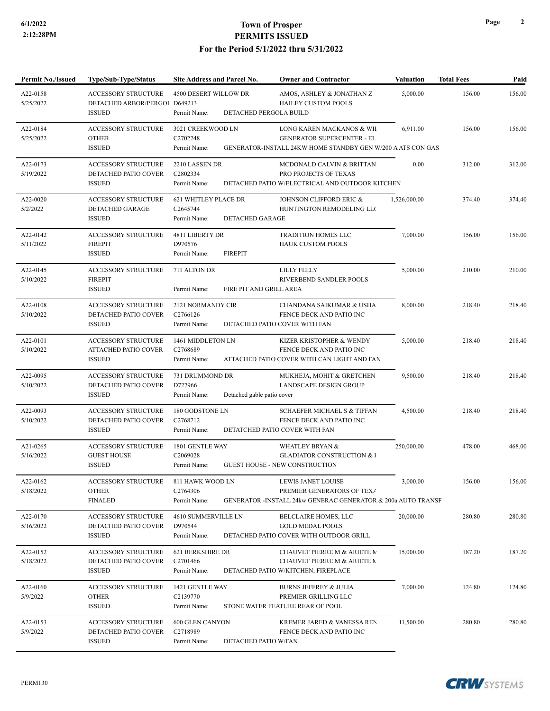**Permit No./Issued Type/Sub-Type/Status Site Address and Parcel No. Owner and Contractor Valuation Total Fees Paid**

| A22-0158<br>5/25/2022 | <b>ACCESSORY STRUCTURE</b><br>DETACHED ARBOR/PERGOI D649213<br><b>ISSUED</b> | 4500 DESERT WILLOW DR<br>DETACHED PERGOLA BUILD<br>Permit Name: | AMOS, ASHLEY & JONATHAN Z<br><b>HAILEY CUSTOM POOLS</b>                                               | 5,000.00     | 156.00 | 156.00 |
|-----------------------|------------------------------------------------------------------------------|-----------------------------------------------------------------|-------------------------------------------------------------------------------------------------------|--------------|--------|--------|
| A22-0184<br>5/25/2022 | <b>ACCESSORY STRUCTURE</b><br><b>OTHER</b>                                   | 3021 CREEKWOOD LN<br>C2702248                                   | LONG KAREN MACKANOS & WII<br><b>GENERATOR SUPERCENTER - EL</b>                                        | 6,911.00     | 156.00 | 156.00 |
|                       | <b>ISSUED</b>                                                                | Permit Name:                                                    | GENERATOR-INSTALL 24KW HOME STANDBY GEN W/200 A ATS CON GAS                                           |              |        |        |
| A22-0173<br>5/19/2022 | <b>ACCESSORY STRUCTURE</b><br>DETACHED PATIO COVER<br><b>ISSUED</b>          | 2210 LASSEN DR<br>C2802334<br>Permit Name:                      | MCDONALD CALVIN & BRITTAN<br>PRO PROJECTS OF TEXAS<br>DETACHED PATIO W/ELECTRICAL AND OUTDOOR KITCHEN | 0.00         | 312.00 | 312.00 |
| A22-0020              | <b>ACCESSORY STRUCTURE</b>                                                   | <b>621 WHITLEY PLACE DR</b>                                     | JOHNSON CLIFFORD ERIC &                                                                               | 1,526,000.00 | 374.40 | 374.40 |
| 5/2/2022              | DETACHED GARAGE                                                              | C2645744                                                        | HUNTINGTON REMODELING LLO                                                                             |              |        |        |
|                       | <b>ISSUED</b>                                                                | <b>DETACHED GARAGE</b><br>Permit Name:                          |                                                                                                       |              |        |        |
| A22-0142              | <b>ACCESSORY STRUCTURE</b>                                                   | 4811 LIBERTY DR                                                 | <b>TRADITION HOMES LLC</b>                                                                            | 7,000.00     | 156.00 | 156.00 |
| 5/11/2022             | <b>FIREPIT</b><br><b>ISSUED</b>                                              | D970576<br>Permit Name:<br><b>FIREPIT</b>                       | <b>HAUK CUSTOM POOLS</b>                                                                              |              |        |        |
| A22-0145              | <b>ACCESSORY STRUCTURE</b>                                                   | 711 ALTON DR                                                    | <b>LILLY FEELY</b>                                                                                    | 5,000.00     | 210.00 | 210.00 |
| 5/10/2022             | <b>FIREPIT</b>                                                               |                                                                 | RIVERBEND SANDLER POOLS                                                                               |              |        |        |
|                       | <b>ISSUED</b>                                                                | Permit Name:<br>FIRE PIT AND GRILL AREA                         |                                                                                                       |              |        |        |
| A22-0108              | ACCESSORY STRUCTURE                                                          | 2121 NORMANDY CIR                                               | CHANDANA SAIKUMAR & USHA                                                                              | 8,000.00     | 218.40 | 218.40 |
| 5/10/2022             | DETACHED PATIO COVER<br><b>ISSUED</b>                                        | C2766126<br>Permit Name:                                        | FENCE DECK AND PATIO INC<br>DETACHED PATIO COVER WITH FAN                                             |              |        |        |
| A22-0101              | <b>ACCESSORY STRUCTURE</b>                                                   | 1461 MIDDLETON LN                                               | KIZER KRISTOPHER & WENDY                                                                              | 5,000.00     | 218.40 | 218.40 |
| 5/10/2022             | <b>ATTACHED PATIO COVER</b>                                                  | C2768689                                                        | FENCE DECK AND PATIO INC                                                                              |              |        |        |
|                       | <b>ISSUED</b>                                                                | Permit Name:                                                    | ATTACHED PATIO COVER WITH CAN LIGHT AND FAN                                                           |              |        |        |
| A22-0095              | <b>ACCESSORY STRUCTURE</b>                                                   | 731 DRUMMOND DR                                                 | MUKHEJA, MOHIT & GRETCHEN                                                                             | 9,500.00     | 218.40 | 218.40 |
| 5/10/2022             | DETACHED PATIO COVER<br><b>ISSUED</b>                                        | D727966<br>Permit Name:<br>Detached gable patio cover           | LANDSCAPE DESIGN GROUP                                                                                |              |        |        |
| A22-0093              | <b>ACCESSORY STRUCTURE</b>                                                   | 180 GODSTONE LN                                                 | <b>SCHAEFER MICHAEL S &amp; TIFFAN</b>                                                                | 4,500.00     | 218.40 | 218.40 |
| 5/10/2022             | DETACHED PATIO COVER                                                         | C2768712                                                        | FENCE DECK AND PATIO INC                                                                              |              |        |        |
|                       | <b>ISSUED</b>                                                                | Permit Name:                                                    | DETATCHED PATIO COVER WITH FAN                                                                        |              |        |        |
| A21-0265              | <b>ACCESSORY STRUCTURE</b>                                                   | 1801 GENTLE WAY                                                 | <b>WHATLEY BRYAN &amp;</b>                                                                            | 250,000.00   | 478.00 | 468.00 |
| 5/16/2022             | <b>GUEST HOUSE</b><br><b>ISSUED</b>                                          | C2069028<br>Permit Name:                                        | <b>GLADIATOR CONSTRUCTION &amp; I</b><br><b>GUEST HOUSE - NEW CONSTRUCTION</b>                        |              |        |        |
| A22-0162              | <b>ACCESSORY STRUCTURE</b>                                                   | 811 HAWK WOOD LN                                                | LEWIS JANET LOUISE                                                                                    | 3,000.00     | 156.00 | 156.00 |
| 5/18/2022             | <b>OTHER</b>                                                                 | C2764306                                                        | PREMIER GENERATORS OF TEXA                                                                            |              |        |        |
|                       | <b>FINALED</b>                                                               | Permit Name:                                                    | GENERATOR -INSTALL 24kw GENERAC GENERATOR & 200a AUTO TRANSF                                          |              |        |        |
| A22-0170              | ACCESSORY STRUCTURE                                                          | 4610 SUMMERVILLE LN<br>D970544                                  | <b>BELCLAIRE HOMES, LLC</b>                                                                           | 20,000.00    | 280.80 | 280.80 |
| 5/16/2022             | DETACHED PATIO COVER<br><b>ISSUED</b>                                        | Permit Name:                                                    | <b>GOLD MEDAL POOLS</b><br>DETACHED PATIO COVER WITH OUTDOOR GRILL                                    |              |        |        |
| A22-0152              | ACCESSORY STRUCTURE                                                          | 621 BERKSHIRE DR                                                | CHAUVET PIERRE M & ARIETE M                                                                           | 15,000.00    | 187.20 | 187.20 |
| 5/18/2022             | DETACHED PATIO COVER                                                         | C <sub>2701466</sub>                                            | <b>CHAUVET PIERRE M &amp; ARIETE M</b>                                                                |              |        |        |
|                       | <b>ISSUED</b>                                                                | Permit Name:                                                    | DETACHED PATIO W/KITCHEN, FIREPLACE                                                                   |              |        |        |
| A22-0160              | <b>ACCESSORY STRUCTURE</b>                                                   | 1421 GENTLE WAY                                                 | <b>BURNS JEFFREY &amp; JULIA</b>                                                                      | 7,000.00     | 124.80 | 124.80 |
| 5/9/2022              | <b>OTHER</b><br><b>ISSUED</b>                                                | C2139770<br>Permit Name:                                        | PREMIER GRILLING LLC<br>STONE WATER FEATURE REAR OF POOL                                              |              |        |        |
| A22-0153              | ACCESSORY STRUCTURE                                                          | 600 GLEN CANYON                                                 | KREMER JARED & VANESSA REN                                                                            | 11,500.00    | 280.80 | 280.80 |
| 5/9/2022              | DETACHED PATIO COVER                                                         | C2718989                                                        | FENCE DECK AND PATIO INC                                                                              |              |        |        |
|                       | <b>ISSUED</b>                                                                | DETACHED PATIO W/FAN<br>Permit Name:                            |                                                                                                       |              |        |        |

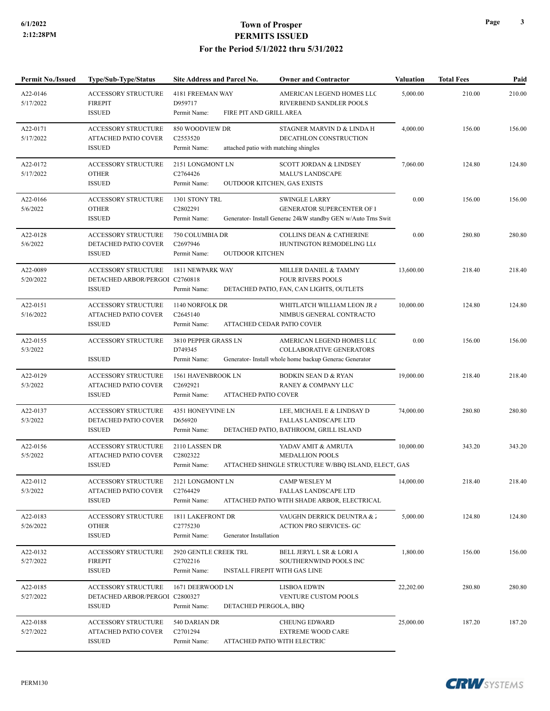| <b>Permit No./Issued</b> | Type/Sub-Type/Status                                                          | Site Address and Parcel No.                                                   | <b>Owner and Contractor</b>                                                                                            | <b>Valuation</b> | <b>Total Fees</b> | Paid   |
|--------------------------|-------------------------------------------------------------------------------|-------------------------------------------------------------------------------|------------------------------------------------------------------------------------------------------------------------|------------------|-------------------|--------|
| A22-0146<br>5/17/2022    | <b>ACCESSORY STRUCTURE</b><br><b>FIREPIT</b><br><b>ISSUED</b>                 | 4181 FREEMAN WAY<br>D959717<br>FIRE PIT AND GRILL AREA                        | AMERICAN LEGEND HOMES LLC<br>RIVERBEND SANDLER POOLS                                                                   | 5,000.00         | 210.00            | 210.00 |
| A22-0171<br>5/17/2022    | <b>ACCESSORY STRUCTURE</b><br><b>ATTACHED PATIO COVER</b><br><b>ISSUED</b>    | Permit Name:<br>850 WOODVIEW DR<br>C2553520<br>Permit Name:                   | STAGNER MARVIN D & LINDA H<br>DECATHLON CONSTRUCTION<br>attached patio with matching shingles                          | 4,000.00         | 156.00            | 156.00 |
| A22-0172<br>5/17/2022    | <b>ACCESSORY STRUCTURE</b><br><b>OTHER</b><br><b>ISSUED</b>                   | 2151 LONGMONT LN<br>C2764426<br>Permit Name:                                  | <b>SCOTT JORDAN &amp; LINDSEY</b><br><b>MALU'S LANDSCAPE</b><br><b>OUTDOOR KITCHEN, GAS EXISTS</b>                     | 7,060.00         | 124.80            | 124.80 |
| A22-0166<br>5/6/2022     | <b>ACCESSORY STRUCTURE</b><br><b>OTHER</b><br><b>ISSUED</b>                   | 1301 STONY TRL<br>C2802291<br>Permit Name:                                    | <b>SWINGLE LARRY</b><br>GENERATOR SUPERCENTER OF I<br>Generator- Install Generac 24kW standby GEN w/Auto Trns Swit     | 0.00             | 156.00            | 156.00 |
| A22-0128<br>5/6/2022     | <b>ACCESSORY STRUCTURE</b><br>DETACHED PATIO COVER<br><b>ISSUED</b>           | 750 COLUMBIA DR<br>C2697946<br>Permit Name:<br><b>OUTDOOR KITCHEN</b>         | <b>COLLINS DEAN &amp; CATHERINE</b><br>HUNTINGTON REMODELING LLO                                                       | 0.00             | 280.80            | 280.80 |
| A22-0089<br>5/20/2022    | ACCESSORY STRUCTURE<br>DETACHED ARBOR/PERGOI C2760818<br><b>ISSUED</b>        | 1811 NEWPARK WAY<br>Permit Name:                                              | MILLER DANIEL & TAMMY<br><b>FOUR RIVERS POOLS</b><br>DETACHED PATIO, FAN, CAN LIGHTS, OUTLETS                          | 13,600.00        | 218.40            | 218.40 |
| A22-0151<br>5/16/2022    | ACCESSORY STRUCTURE<br><b>ATTACHED PATIO COVER</b><br><b>ISSUED</b>           | 1140 NORFOLK DR<br>C2645140<br>Permit Name:                                   | WHITLATCH WILLIAM LEON JR ¿<br>NIMBUS GENERAL CONTRACTO!<br>ATTACHED CEDAR PATIO COVER                                 | 10,000.00        | 124.80            | 124.80 |
| A22-0155<br>5/3/2022     | <b>ACCESSORY STRUCTURE</b><br><b>ISSUED</b>                                   | 3810 PEPPER GRASS LN<br>D749345<br>Permit Name:                               | AMERICAN LEGEND HOMES LLC<br><b>COLLABORATIVE GENERATORS</b><br>Generator- Install whole home backup Generac Generator | 0.00             | 156.00            | 156.00 |
| A22-0129<br>5/3/2022     | <b>ACCESSORY STRUCTURE</b><br><b>ATTACHED PATIO COVER</b><br><b>ISSUED</b>    | 1561 HAVENBROOK LN<br>C2692921<br>Permit Name:<br><b>ATTACHED PATIO COVER</b> | <b>BODKIN SEAN D &amp; RYAN</b><br>RANEY & COMPANY LLC                                                                 | 19,000.00        | 218.40            | 218.40 |
| A22-0137<br>5/3/2022     | <b>ACCESSORY STRUCTURE</b><br>DETACHED PATIO COVER<br><b>ISSUED</b>           | 4351 HONEYVINE LN<br>D656920<br>Permit Name:                                  | LEE, MICHAEL E & LINDSAY D<br>FALLAS LANDSCAPE LTD<br>DETACHED PATIO, BATHROOM, GRILL ISLAND                           | 74,000.00        | 280.80            | 280.80 |
| A22-0156<br>5/5/2022     | <b>ACCESSORY STRUCTURE</b><br>ATTACHED PATIO COVER<br><b>ISSUED</b>           | 2110 LASSEN DR<br>C2802322<br>Permit Name:                                    | YADAV AMIT & AMRUTA<br>MEDALLION POOLS<br>ATTACHED SHINGLE STRUCTURE W/BBQ ISLAND, ELECT, GAS                          | 10,000.00        | 343.20            | 343.20 |
| A22-0112<br>5/3/2022     | ACCESSORY STRUCTURE<br>ATTACHED PATIO COVER<br><b>ISSUED</b>                  | 2121 LONGMONT LN<br>C2764429<br>Permit Name:                                  | CAMP WESLEY M<br><b>FALLAS LANDSCAPE LTD</b><br>ATTACHED PATIO WITH SHADE ARBOR, ELECTRICAL                            | 14,000.00        | 218.40            | 218.40 |
| A22-0183<br>5/26/2022    | <b>ACCESSORY STRUCTURE</b><br><b>OTHER</b><br><b>ISSUED</b>                   | 1811 LAKEFRONT DR<br>C2775230<br>Generator Installation<br>Permit Name:       | VAUGHN DERRICK DEUNTRA & J<br>ACTION PRO SERVICES- GC                                                                  | 5,000.00         | 124.80            | 124.80 |
| A22-0132<br>5/27/2022    | <b>ACCESSORY STRUCTURE</b><br><b>FIREPIT</b><br><b>ISSUED</b>                 | 2920 GENTLE CREEK TRL<br>C2702216<br>Permit Name:                             | BELL JERYL L SR & LORI A<br>SOUTHERNWIND POOLS INC<br>INSTALL FIREPIT WITH GAS LINE                                    | 1,800.00         | 156.00            | 156.00 |
| A22-0185<br>5/27/2022    | <b>ACCESSORY STRUCTURE</b><br>DETACHED ARBOR/PERGOI C2800327<br><b>ISSUED</b> | 1671 DEERWOOD LN<br>Permit Name:<br>DETACHED PERGOLA, BBQ                     | <b>LISBOA EDWIN</b><br>VENTURE CUSTOM POOLS                                                                            | 22,202.00        | 280.80            | 280.80 |
| A22-0188<br>5/27/2022    | ACCESSORY STRUCTURE<br>ATTACHED PATIO COVER<br><b>ISSUED</b>                  | 540 DARIAN DR<br>C2701294<br>Permit Name:                                     | <b>CHEUNG EDWARD</b><br><b>EXTREME WOOD CARE</b><br>ATTACHED PATIO WITH ELECTRIC                                       | 25,000.00        | 187.20            | 187.20 |

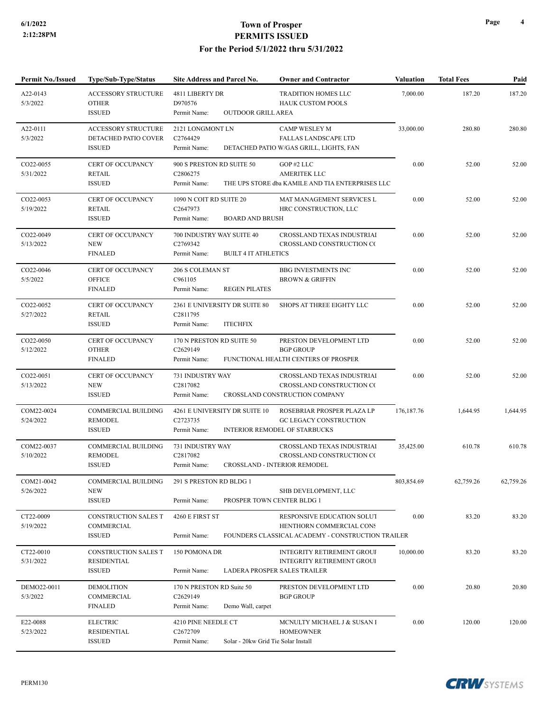| Permit No./Issued       | Type/Sub-Type/Status                                                | Site Address and Parcel No.                                                            | <b>Owner and Contractor</b>                                                                                 | <b>Valuation</b> | <b>Total Fees</b> | Paid      |
|-------------------------|---------------------------------------------------------------------|----------------------------------------------------------------------------------------|-------------------------------------------------------------------------------------------------------------|------------------|-------------------|-----------|
| A22-0143<br>5/3/2022    | <b>ACCESSORY STRUCTURE</b><br><b>OTHER</b><br><b>ISSUED</b>         | 4811 LIBERTY DR<br>D970576<br><b>OUTDOOR GRILL AREA</b><br>Permit Name:                | <b>TRADITION HOMES LLC</b><br><b>HAUK CUSTOM POOLS</b>                                                      | 7,000.00         | 187.20            | 187.20    |
| A22-0111<br>5/3/2022    | <b>ACCESSORY STRUCTURE</b><br>DETACHED PATIO COVER<br><b>ISSUED</b> | 2121 LONGMONT LN<br>C2764429<br>Permit Name:                                           | CAMP WESLEY M<br><b>FALLAS LANDSCAPE LTD</b><br>DETACHED PATIO W/GAS GRILL, LIGHTS, FAN                     | 33,000.00        | 280.80            | 280.80    |
| CO22-0055<br>5/31/2022  | CERT OF OCCUPANCY<br><b>RETAIL</b><br><b>ISSUED</b>                 | 900 S PRESTON RD SUITE 50<br>C2806275<br>Permit Name:                                  | GOP#2 LLC<br><b>AMERITEK LLC</b><br>THE UPS STORE dba KAMILE AND TIA ENTERPRISES LLC                        | 0.00             | 52.00             | 52.00     |
| CO22-0053<br>5/19/2022  | CERT OF OCCUPANCY<br><b>RETAIL</b><br><b>ISSUED</b>                 | 1090 N COIT RD SUITE 20<br>C2647973<br><b>BOARD AND BRUSH</b><br>Permit Name:          | MAT MANAGEMENT SERVICES L<br>HRC CONSTRUCTION, LLC                                                          | 0.00             | 52.00             | 52.00     |
| CO22-0049<br>5/13/2022  | CERT OF OCCUPANCY<br><b>NEW</b><br><b>FINALED</b>                   | 700 INDUSTRY WAY SUITE 40<br>C2769342<br>Permit Name:<br><b>BUILT 4 IT ATHLETICS</b>   | CROSSLAND TEXAS INDUSTRIAI<br>CROSSLAND CONSTRUCTION CO                                                     | 0.00             | 52.00             | 52.00     |
| CO22-0046<br>5/5/2022   | CERT OF OCCUPANCY<br><b>OFFICE</b><br><b>FINALED</b>                | 206 S COLEMAN ST<br>C961105<br>Permit Name:<br><b>REGEN PILATES</b>                    | <b>BBG INVESTMENTS INC</b><br><b>BROWN &amp; GRIFFIN</b>                                                    | 0.00             | 52.00             | 52.00     |
| CO22-0052<br>5/27/2022  | CERT OF OCCUPANCY<br><b>RETAIL</b><br><b>ISSUED</b>                 | 2361 E UNIVERSITY DR SUITE 80<br>C2811795<br><b>ITECHFIX</b><br>Permit Name:           | SHOPS AT THREE EIGHTY LLC                                                                                   | 0.00             | 52.00             | 52.00     |
| CO22-0050<br>5/12/2022  | CERT OF OCCUPANCY<br><b>OTHER</b><br><b>FINALED</b>                 | 170 N PRESTON RD SUITE 50<br>C2629149<br>Permit Name:                                  | PRESTON DEVELOPMENT LTD<br><b>BGP GROUP</b><br>FUNCTIONAL HEALTH CENTERS OF PROSPER                         | 0.00             | 52.00             | 52.00     |
| CO22-0051<br>5/13/2022  | CERT OF OCCUPANCY<br><b>NEW</b><br><b>ISSUED</b>                    | 731 INDUSTRY WAY<br>C2817082<br>Permit Name:                                           | CROSSLAND TEXAS INDUSTRIAI<br>CROSSLAND CONSTRUCTION CO<br>CROSSLAND CONSTRUCTION COMPANY                   | 0.00             | 52.00             | 52.00     |
| COM22-0024<br>5/24/2022 | <b>COMMERCIAL BUILDING</b><br><b>REMODEL</b><br><b>ISSUED</b>       | 4261 E UNIVERSITY DR SUITE 10<br>C2723735<br>Permit Name:                              | ROSEBRIAR PROSPER PLAZA LP<br>GC LEGACY CONSTRUCTION<br><b>INTERIOR REMODEL OF STARBUCKS</b>                | 176, 187. 76     | 1,644.95          | 1,644.95  |
| COM22-0037<br>5/10/2022 | COMMERCIAL BUILDING<br><b>REMODEL</b><br><b>ISSUED</b>              | 731 INDUSTRY WAY<br>C2817082<br>Permit Name:                                           | CROSSLAND TEXAS INDUSTRIAI<br>CROSSLAND CONSTRUCTION CO<br><b>CROSSLAND - INTERIOR REMODEL</b>              | 35,425.00        | 610.78            | 610.78    |
| COM21-0042<br>5/26/2022 | COMMERCIAL BUILDING<br><b>NEW</b><br><b>ISSUED</b>                  | 291 S PRESTON RD BLDG 1<br>Permit Name:                                                | SHB DEVELOPMENT, LLC<br>PROSPER TOWN CENTER BLDG 1                                                          | 803,854.69       | 62,759.26         | 62,759.26 |
| CT22-0009<br>5/19/2022  | CONSTRUCTION SALES T<br>COMMERCIAL<br><b>ISSUED</b>                 | 4260 E FIRST ST<br>Permit Name:                                                        | RESPONSIVE EDUCATION SOLUT<br>HENTHORN COMMERCIAL CONS<br>FOUNDERS CLASSICAL ACADEMY - CONSTRUCTION TRAILER | 0.00             | 83.20             | 83.20     |
| CT22-0010<br>5/31/2022  | <b>CONSTRUCTION SALES T</b><br><b>RESIDENTIAL</b><br><b>ISSUED</b>  | 150 POMONA DR<br>Permit Name:                                                          | <b>INTEGRITY RETIREMENT GROUI</b><br><b>INTEGRITY RETIREMENT GROUI</b><br>LADERA PROSPER SALES TRAILER      | 10,000.00        | 83.20             | 83.20     |
| DEMO22-0011<br>5/3/2022 | <b>DEMOLITION</b><br>COMMERCIAL<br><b>FINALED</b>                   | 170 N PRESTON RD Suite 50<br>C2629149<br>Demo Wall, carpet<br>Permit Name:             | PRESTON DEVELOPMENT LTD<br><b>BGP GROUP</b>                                                                 | 0.00             | 20.80             | 20.80     |
| E22-0088<br>5/23/2022   | <b>ELECTRIC</b><br>RESIDENTIAL<br><b>ISSUED</b>                     | 4210 PINE NEEDLE CT<br>C2672709<br>Permit Name:<br>Solar - 20kw Grid Tie Solar Install | MCNULTY MICHAEL J & SUSAN I<br><b>HOMEOWNER</b>                                                             | $0.00\,$         | 120.00            | 120.00    |

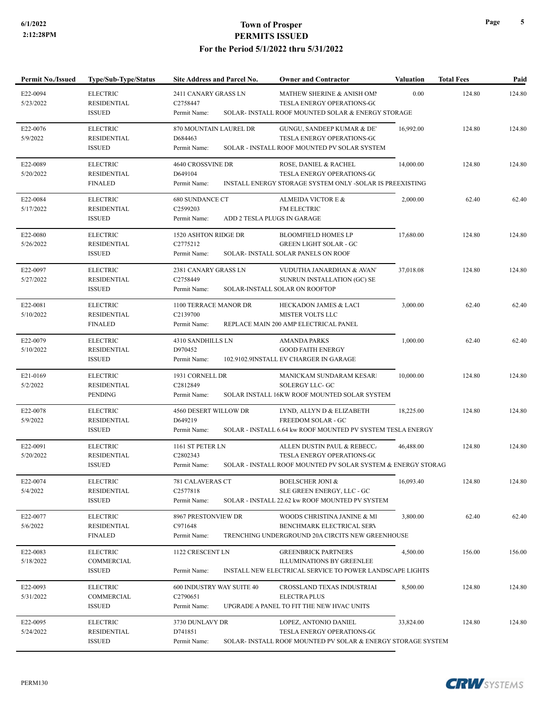| <b>Permit No./Issued</b> | Type/Sub-Type/Status                                   | Site Address and Parcel No.                       | <b>Owner and Contractor</b>                                                                             | <b>Valuation</b> | <b>Total Fees</b> | Paid   |
|--------------------------|--------------------------------------------------------|---------------------------------------------------|---------------------------------------------------------------------------------------------------------|------------------|-------------------|--------|
| E22-0094<br>5/23/2022    | <b>ELECTRIC</b><br><b>RESIDENTIAL</b>                  | 2411 CANARY GRASS LN<br>C2758447                  | MATHEW SHERINE & ANISH OMI<br>TESLA ENERGY OPERATIONS-GC                                                | 0.00             | 124.80            | 124.80 |
|                          | <b>ISSUED</b>                                          | Permit Name:                                      | SOLAR- INSTALL ROOF MOUNTED SOLAR & ENERGY STORAGE                                                      |                  |                   |        |
| E22-0076<br>5/9/2022     | <b>ELECTRIC</b><br><b>RESIDENTIAL</b><br><b>ISSUED</b> | 870 MOUNTAIN LAUREL DR<br>D684463<br>Permit Name: | GUNGU, SANDEEP KUMAR & DE<br>TESLA ENERGY OPERATIONS-GC<br>SOLAR - INSTALL ROOF MOUNTED PV SOLAR SYSTEM | 16,992.00        | 124.80            | 124.80 |
|                          |                                                        |                                                   |                                                                                                         |                  |                   |        |
| E22-0089                 | <b>ELECTRIC</b>                                        | 4640 CROSSVINE DR                                 | ROSE, DANIEL & RACHEL                                                                                   | 14,000.00        | 124.80            | 124.80 |
| 5/20/2022                | <b>RESIDENTIAL</b><br><b>FINALED</b>                   | D649104<br>Permit Name:                           | TESLA ENERGY OPERATIONS-GC<br>INSTALL ENERGY STORAGE SYSTEM ONLY -SOLAR IS PREEXISTING                  |                  |                   |        |
| E22-0084                 | <b>ELECTRIC</b>                                        | <b>680 SUNDANCE CT</b>                            | ALMEIDA VICTOR E &                                                                                      | 2,000.00         | 62.40             | 62.40  |
| 5/17/2022                | <b>RESIDENTIAL</b>                                     | C2599203                                          | FM ELECTRIC                                                                                             |                  |                   |        |
|                          | <b>ISSUED</b>                                          | Permit Name:                                      | ADD 2 TESLA PLUGS IN GARAGE                                                                             |                  |                   |        |
| E22-0080                 | <b>ELECTRIC</b>                                        | 1520 ASHTON RIDGE DR                              | <b>BLOOMFIELD HOMES LP</b>                                                                              | 17,680.00        | 124.80            | 124.80 |
| 5/26/2022                | <b>RESIDENTIAL</b>                                     | C2775212                                          | <b>GREEN LIGHT SOLAR - GC</b>                                                                           |                  |                   |        |
|                          | <b>ISSUED</b>                                          | Permit Name:                                      | SOLAR- INSTALL SOLAR PANELS ON ROOF                                                                     |                  |                   |        |
| E22-0097                 | <b>ELECTRIC</b>                                        | 2381 CANARY GRASS LN                              | VUDUTHA JANARDHAN & AVAN'                                                                               | 37,018.08        | 124.80            | 124.80 |
| 5/27/2022                | <b>RESIDENTIAL</b>                                     | C2758449                                          | SUNRUN INSTALLATION (GC) SE                                                                             |                  |                   |        |
|                          | <b>ISSUED</b>                                          | Permit Name:                                      | SOLAR-INSTALL SOLAR ON ROOFTOP                                                                          |                  |                   |        |
| E22-0081                 | <b>ELECTRIC</b>                                        | 1100 TERRACE MANOR DR                             | HECKADON JAMES & LACI                                                                                   | 3,000.00         | 62.40             | 62.40  |
| 5/10/2022                | <b>RESIDENTIAL</b>                                     | C2139700                                          | <b>MISTER VOLTS LLC</b>                                                                                 |                  |                   |        |
|                          | <b>FINALED</b>                                         | Permit Name:                                      | REPLACE MAIN 200 AMP ELECTRICAL PANEL                                                                   |                  |                   |        |
| E22-0079                 | <b>ELECTRIC</b>                                        | 4310 SANDHILLS LN                                 | <b>AMANDA PARKS</b>                                                                                     | 1,000.00         | 62.40             | 62.40  |
| 5/10/2022                | <b>RESIDENTIAL</b>                                     | D970452                                           | <b>GOOD FAITH ENERGY</b>                                                                                |                  |                   |        |
|                          | <b>ISSUED</b>                                          | Permit Name:                                      | 102.9102.9INSTALL EV CHARGER IN GARAGE                                                                  |                  |                   |        |
| E21-0169                 | <b>ELECTRIC</b>                                        | 1931 CORNELL DR                                   | MANICKAM SUNDARAM KESAR                                                                                 | 10,000.00        | 124.80            | 124.80 |
| 5/2/2022                 | <b>RESIDENTIAL</b>                                     | C2812849                                          | <b>SOLERGY LLC- GC</b>                                                                                  |                  |                   |        |
|                          | PENDING                                                | Permit Name:                                      | SOLAR INSTALL 16KW ROOF MOUNTED SOLAR SYSTEM                                                            |                  |                   |        |
| E22-0078                 | <b>ELECTRIC</b>                                        | 4560 DESERT WILLOW DR                             | LYND, ALLYN D & ELIZABETH                                                                               | 18,225.00        | 124.80            | 124.80 |
| 5/9/2022                 | <b>RESIDENTIAL</b>                                     | D649219                                           | FREEDOM SOLAR - GC                                                                                      |                  |                   |        |
|                          | <b>ISSUED</b>                                          | Permit Name:                                      | SOLAR - INSTALL 6.64 kw ROOF MOUNTED PV SYSTEM TESLA ENERGY                                             |                  |                   |        |
| E22-0091                 | <b>ELECTRIC</b>                                        | 1161 ST PETER LN                                  | ALLEN DUSTIN PAUL & REBECC.                                                                             | 46,488.00        | 124.80            | 124.80 |
| 5/20/2022                | <b>RESIDENTIAL</b>                                     | C2802343                                          | TESLA ENERGY OPERATIONS-GC                                                                              |                  |                   |        |
|                          | <b>ISSUED</b>                                          | Permit Name:                                      | SOLAR - INSTALL ROOF MOUNTED PV SOLAR SYSTEM & ENERGY STORAG                                            |                  |                   |        |
| E22-0074                 | <b>ELECTRIC</b>                                        | 781 CALAVERAS CT                                  | <b>BOELSCHER JONI &amp;</b>                                                                             | 16,093.40        | 124.80            | 124.80 |
| 5/4/2022                 | <b>RESIDENTIAL</b>                                     | C2577818                                          | SLE GREEN ENERGY, LLC - GC                                                                              |                  |                   |        |
|                          | <b>ISSUED</b>                                          | Permit Name:                                      | SOLAR - INSTALL 22.62 kw ROOF MOUNTED PV SYSTEM                                                         |                  |                   |        |
| E22-0077                 | <b>ELECTRIC</b>                                        | 8967 PRESTONVIEW DR                               | WOODS CHRISTINA JANINE & MI                                                                             | 3,800.00         | 62.40             | 62.40  |
| 5/6/2022                 | <b>RESIDENTIAL</b>                                     | C971648                                           | BENCHMARK ELECTRICAL SERV                                                                               |                  |                   |        |
|                          | <b>FINALED</b>                                         | Permit Name:                                      | TRENCHING UNDERGROUND 20A CIRCITS NEW GREENHOUSE                                                        |                  |                   |        |
| E22-0083                 | <b>ELECTRIC</b>                                        | 1122 CRESCENT LN                                  | <b>GREENBRICK PARTNERS</b>                                                                              | 4,500.00         | 156.00            | 156.00 |
| 5/18/2022                | COMMERCIAL                                             |                                                   | <b>ILLUMINATIONS BY GREENLEE</b>                                                                        |                  |                   |        |
|                          | <b>ISSUED</b>                                          | Permit Name:                                      | INSTALL NEW ELECTRICAL SERVICE TO POWER LANDSCAPE LIGHTS                                                |                  |                   |        |
| E22-0093                 | <b>ELECTRIC</b>                                        | 600 INDUSTRY WAY SUITE 40                         | CROSSLAND TEXAS INDUSTRIAI                                                                              | 8,500.00         | 124.80            | 124.80 |
| 5/31/2022                | COMMERCIAL                                             | C <sub>2790651</sub>                              | <b>ELECTRA PLUS</b>                                                                                     |                  |                   |        |
|                          | <b>ISSUED</b>                                          | Permit Name:                                      | UPGRADE A PANEL TO FIT THE NEW HVAC UNITS                                                               |                  |                   |        |
| E22-0095                 | <b>ELECTRIC</b>                                        | 3730 DUNLAVY DR                                   | LOPEZ, ANTONIO DANIEL                                                                                   | 33,824.00        | 124.80            | 124.80 |
| 5/24/2022                | <b>RESIDENTIAL</b>                                     | D741851                                           | TESLA ENERGY OPERATIONS-GC                                                                              |                  |                   |        |
|                          | <b>ISSUED</b>                                          | Permit Name:                                      | SOLAR- INSTALL ROOF MOUNTED PV SOLAR & ENERGY STORAGE SYSTEM                                            |                  |                   |        |

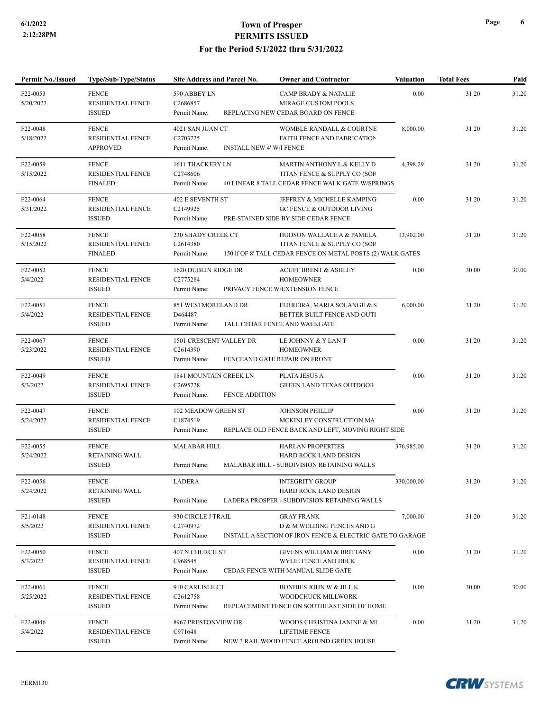| <b>Permit No./Issued</b> | <b>Type/Sub-Type/Status</b>                                 | Site Address and Parcel No.                                                 | <b>Owner and Contractor</b>                                                                                              | <b>Valuation</b> | <b>Total Fees</b> | Paid  |
|--------------------------|-------------------------------------------------------------|-----------------------------------------------------------------------------|--------------------------------------------------------------------------------------------------------------------------|------------------|-------------------|-------|
| F22-0053<br>5/20/2022    | <b>FENCE</b><br>RESIDENTIAL FENCE<br><b>ISSUED</b>          | 590 ABBEY LN<br>C2686857<br>Permit Name:                                    | <b>CAMP BRADY &amp; NATALIE</b><br>MIRAGE CUSTOM POOLS<br>REPLACING NEW CEDAR BOARD ON FENCE                             | 0.00             | 31.20             | 31.20 |
| F22-0048<br>5/18/2022    | <b>FENCE</b><br><b>RESIDENTIAL FENCE</b><br><b>APPROVED</b> | 4021 SAN JUAN CT<br>C2703725<br>Permit Name:<br>INSTALL NEW 4' W/I FENCE    | WOMBLE RANDALL & COURTNE<br>FAITH FENCE AND FABRICATION                                                                  | 8,000.00         | 31.20             | 31.20 |
| F22-0059<br>5/15/2022    | <b>FENCE</b><br>RESIDENTIAL FENCE<br><b>FINALED</b>         | 1611 THACKERY LN<br>C2748606<br>Permit Name:                                | MARTIN ANTHONY L & KELLY D<br>TITAN FENCE & SUPPLY CO (SOR<br>40 LINEAR 8 TALL CEDAR FENCE WALK GATE W/SPRINGS           | 4,398.29         | 31.20             | 31.20 |
| F22-0064<br>5/31/2022    | <b>FENCE</b><br><b>RESIDENTIAL FENCE</b><br><b>ISSUED</b>   | <b>402 E SEVENTH ST</b><br>C2149925<br>Permit Name:                         | JEFFREY & MICHELLE KAMPING<br><b>GC FENCE &amp; OUTDOOR LIVING</b><br>PRE-STAINED SIDE BY SIDE CEDAR FENCE               | 0.00             | 31.20             | 31.20 |
| F22-0058<br>5/15/2022    | <b>FENCE</b><br><b>RESIDENTIAL FENCE</b><br><b>FINALED</b>  | 230 SHADY CREEK CT<br>C2614380<br>Permit Name:                              | HUDSON WALLACE A & PAMELA<br>TITAN FENCE & SUPPLY CO (SOR<br>150 If OF 8' TALL CEDAR FENCE ON METAL POSTS (2) WALK GATES | 13,902.00        | 31.20             | 31.20 |
| F22-0052<br>5/4/2022     | <b>FENCE</b><br>RESIDENTIAL FENCE<br><b>ISSUED</b>          | 1620 DUBLIN RIDGE DR<br>C2775284<br>Permit Name:                            | <b>ACUFF BRENT &amp; ASHLEY</b><br><b>HOMEOWNER</b><br>PRIVACY FENCE W/EXTENSION FENCE                                   | 0.00             | 30.00             | 30.00 |
| F22-0051<br>5/4/2022     | <b>FENCE</b><br><b>RESIDENTIAL FENCE</b><br><b>ISSUED</b>   | 851 WESTMORELAND DR<br>D464487<br>Permit Name:                              | FERREIRA, MARIA SOLANGE & S<br>BETTER BUILT FENCE AND OUTI<br>TALL CEDAR FENCE AND WALKGATE                              | 6,000.00         | 31.20             | 31.20 |
| F22-0067<br>5/23/2022    | <b>FENCE</b><br><b>RESIDENTIAL FENCE</b><br><b>ISSUED</b>   | 1501 CRESCENT VALLEY DR<br>C2614390<br>Permit Name:                         | LE JOHNNY & Y LAN T<br><b>HOMEOWNER</b><br>FENCEAND GATE REPAIR ON FRONT                                                 | 0.00             | 31.20             | 31.20 |
| F22-0049<br>5/3/2022     | <b>FENCE</b><br>RESIDENTIAL FENCE<br><b>ISSUED</b>          | 1841 MOUNTAIN CREEK LN<br>C2695728<br>Permit Name:<br><b>FENCE ADDITION</b> | PLATA JESUS A<br><b>GREEN LAND TEXAS OUTDOOR</b>                                                                         | 0.00             | 31.20             | 31.20 |
| F22-0047<br>5/24/2022    | <b>FENCE</b><br><b>RESIDENTIAL FENCE</b><br><b>ISSUED</b>   | 102 MEADOW GREEN ST<br>C1874519<br>Permit Name:                             | <b>JOHNSON PHILLIP</b><br>MCKINLEY CONSTRUCTION MAI<br>REPLACE OLD FENCE BACK AND LEFT, MOVING RIGHT SIDE                | 0.00             | 31.20             | 31.20 |
| F22-0055<br>5/24/2022    | <b>FENCE</b><br>RETAINING WALL<br><b>ISSUED</b>             | <b>MALABAR HILL</b><br>Permit Name:                                         | <b>HARLAN PROPERTIES</b><br>HARD ROCK LAND DESIGN<br>MALABAR HILL - SUBDIVISION RETAINING WALLS                          | 376,985.00       | 31.20             | 31.20 |
| F22-0056<br>5/24/2022    | <b>FENCE</b><br><b>RETAINING WALL</b><br><b>ISSUED</b>      | LADERA<br>Permit Name:                                                      | <b>INTEGRITY GROUP</b><br>HARD ROCK LAND DESIGN<br>LADERA PROSPER - SUBDIVISION RETAINING WALLS                          | 330,000.00       | 31.20             | 31.20 |
| F21-0148<br>5/5/2022     | <b>FENCE</b><br>RESIDENTIAL FENCE<br><b>ISSUED</b>          | 930 CIRCLE J TRAIL<br>C2740972<br>Permit Name:                              | <b>GRAY FRANK</b><br>D & M WELDING FENCES AND G.<br>INSTALL A SECTION OF IRON FENCE & ELECTRIC GATE TO GARAGE            | 7,000.00         | 31.20             | 31.20 |
| F22-0050<br>5/3/2022     | <b>FENCE</b><br>RESIDENTIAL FENCE<br><b>ISSUED</b>          | 407 N CHURCH ST<br>C968545<br>Permit Name:                                  | <b>GIVENS WILLIAM &amp; BRITTANY</b><br>WYLIE FENCE AND DECK<br>CEDAR FENCE WITH MANUAL SLIDE GATE                       | 0.00             | 31.20             | 31.20 |
| F22-0061<br>5/25/2022    | <b>FENCE</b><br>RESIDENTIAL FENCE<br><b>ISSUED</b>          | 910 CARLISLE CT<br>C <sub>2612758</sub><br>Permit Name:                     | <b>BONDIES JOHN W &amp; JILL K</b><br>WOODCHUCK MILLWORK<br>REPLACEMENT FENCE ON SOUTHEAST SIDE OF HOME                  | 0.00             | 30.00             | 30.00 |
| F22-0046<br>5/4/2022     | <b>FENCE</b><br><b>RESIDENTIAL FENCE</b><br><b>ISSUED</b>   | 8967 PRESTONVIEW DR<br>C971648<br>Permit Name:                              | WOODS CHRISTINA JANINE & MI<br>LIFETIME FENCE<br>NEW 3 RAIL WOOD FENCE AROUND GREEN HOUSE                                | 0.00             | 31.20             | 31.20 |

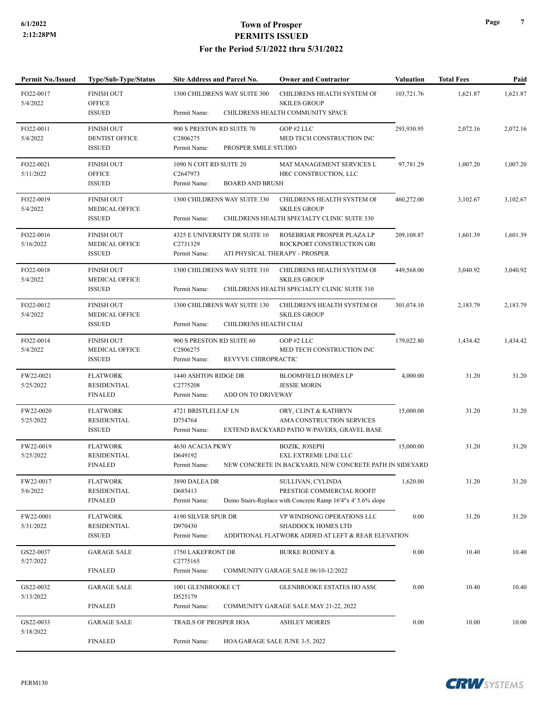| <b>Permit No./Issued</b> | Type/Sub-Type/Status                   | Site Address and Parcel No.                                    | <b>Owner and Contractor</b>                                                     | <b>Valuation</b> | <b>Total Fees</b> | Paid     |
|--------------------------|----------------------------------------|----------------------------------------------------------------|---------------------------------------------------------------------------------|------------------|-------------------|----------|
| FO22-0017<br>5/4/2022    | <b>FINISH OUT</b><br><b>OFFICE</b>     | 1300 CHILDRENS WAY SUITE 300                                   | CHILDRENS HEALTH SYSTEM OF<br><b>SKILES GROUP</b>                               | 103,721.76       | 1,621.87          | 1,621.87 |
|                          | <b>ISSUED</b>                          | Permit Name:                                                   | CHILDRENS HEALTH COMMUNITY SPACE                                                |                  |                   |          |
| FO22-0011                | <b>FINISH OUT</b>                      | 900 S PRESTON RD SUITE 70                                      | GOP#2 LLC                                                                       | 293,930.95       | 2,072.16          | 2,072.16 |
| 5/4/2022                 | <b>DENTIST OFFICE</b><br><b>ISSUED</b> | C <sub>2806275</sub><br>PROSPER SMILE STUDIO<br>Permit Name:   | MED TECH CONSTRUCTION INC                                                       |                  |                   |          |
| FO22-0021                | <b>FINISH OUT</b>                      | 1090 N COIT RD SUITE 20                                        | MAT MANAGEMENT SERVICES L                                                       | 97,781.29        | 1,007.20          | 1,007.20 |
| 5/11/2022                | <b>OFFICE</b><br><b>ISSUED</b>         | C <sub>2647973</sub><br>Permit Name:<br><b>BOARD AND BRUSH</b> | HRC CONSTRUCTION, LLC                                                           |                  |                   |          |
| FO22-0019                | <b>FINISH OUT</b>                      | 1300 CHILDRENS WAY SUITE 330                                   | CHILDRENS HEALTH SYSTEM OF                                                      | 460,272.00       | 3,102.67          | 3,102.67 |
| 5/4/2022                 | MEDICAL OFFICE<br><b>ISSUED</b>        | Permit Name:                                                   | <b>SKILES GROUP</b><br>CHILDRENS HEALTH SPECIALTY CLINIC SUITE 330              |                  |                   |          |
| FO22-0016                | <b>FINISH OUT</b>                      | 4325 E UNIVERSITY DR SUITE 10                                  | ROSEBRIAR PROSPER PLAZA LP                                                      | 209,108.87       | 1,601.39          | 1,601.39 |
| 5/16/2022                | MEDICAL OFFICE                         | C2731329                                                       | ROCKPORT CONSTRUCTION GRO                                                       |                  |                   |          |
|                          | <b>ISSUED</b>                          | Permit Name:                                                   | ATI PHYSICAL THERAPY - PROSPER                                                  |                  |                   |          |
| FO22-0018<br>5/4/2022    | <b>FINISH OUT</b><br>MEDICAL OFFICE    | 1300 CHILDRENS WAY SUITE 310                                   | CHILDRENS HEALTH SYSTEM OF<br><b>SKILES GROUP</b>                               | 449,568.00       | 3,040.92          | 3,040.92 |
|                          | <b>ISSUED</b>                          | Permit Name:                                                   | CHILDRENS HEALTH SPECIALTY CLINIC SUITE 310                                     |                  |                   |          |
| FO22-0012                | <b>FINISH OUT</b>                      | 1300 CHILDRENS WAY SUITE 130                                   | CHILDREN'S HEALTH SYSTEM OI                                                     | 301,074.10       | 2,183.79          | 2,183.79 |
| 5/4/2022                 | MEDICAL OFFICE<br><b>ISSUED</b>        | CHILDRENS HEALTH CHAI<br>Permit Name:                          | <b>SKILES GROUP</b>                                                             |                  |                   |          |
| FO22-0014                | <b>FINISH OUT</b>                      | 900 S PRESTON RD SUITE 60                                      | GOP#2 LLC                                                                       | 179,022.80       | 1,434.42          | 1,434.42 |
| 5/4/2022                 | <b>MEDICAL OFFICE</b>                  | C2806275                                                       | MED TECH CONSTRUCTION INC                                                       |                  |                   |          |
|                          | <b>ISSUED</b>                          | Permit Name:<br>REVYVE CHIROPRACTIC                            |                                                                                 |                  |                   |          |
| FW22-0021                | <b>FLATWORK</b>                        | 1440 ASHTON RIDGE DR                                           | <b>BLOOMFIELD HOMES LP</b>                                                      | 4,000.00         | 31.20             | 31.20    |
| 5/25/2022                | <b>RESIDENTIAL</b><br><b>FINALED</b>   | C2775208<br>ADD ON TO DRIVEWAY<br>Permit Name:                 | <b>JESSIE MORIN</b>                                                             |                  |                   |          |
| FW22-0020                | <b>FLATWORK</b>                        | 4721 BRISTLELEAF LN                                            | ORY, CLINT & KATHRYN                                                            | 15,000.00        | 31.20             | 31.20    |
| 5/25/2022                | <b>RESIDENTIAL</b>                     | D754764                                                        | AMA CONSTRUCTION SERVICES                                                       |                  |                   |          |
|                          | <b>ISSUED</b>                          | Permit Name:                                                   | EXTEND BACKYARD PATIO W/PAVERS, GRAVEL BASE                                     |                  |                   |          |
| FW22-0019                | <b>FLATWORK</b><br><b>RESIDENTIAL</b>  | 4630 ACACIA PKWY                                               | <b>BOZIK, JOSEPH</b>                                                            | 15,000.00        | 31.20             | 31.20    |
| 5/25/2022                | <b>FINALED</b>                         | D649192<br>Permit Name:                                        | EXL EXTREME LINE LLC<br>NEW CONCRETE IN BACKYARD, NEW CONCRETE PATH IN SIDEYARD |                  |                   |          |
| FW22-0017                | <b>FLATWORK</b>                        | 3890 DALEA DR                                                  | SULLIVAN, CYLINDA                                                               | 1,620.00         | 31.20             | 31.20    |
| 5/6/2022                 | <b>RESIDENTIAL</b>                     | D685413                                                        | PRESTIGE COMMERCIAL ROOFIN                                                      |                  |                   |          |
|                          | <b>FINALED</b>                         | Permit Name:                                                   | Demo Stairs-Replace with Concrete Ramp 16'4"x 4' 5.6% slope                     |                  |                   |          |
| FW22-0001                | <b>FLATWORK</b>                        | 4190 SILVER SPUR DR                                            | VP WINDSONG OPERATIONS LLC                                                      | 0.00             | 31.20             | 31.20    |
| 5/31/2022                | <b>RESIDENTIAL</b><br><b>ISSUED</b>    | D970430<br>Permit Name:                                        | <b>SHADDOCK HOMES LTD</b><br>ADDITIONAL FLATWORK ADDED AT LEFT & REAR ELEVATION |                  |                   |          |
|                          |                                        |                                                                |                                                                                 |                  |                   |          |
| GS22-0037<br>5/27/2022   | <b>GARAGE SALE</b>                     | 1750 LAKEFRONT DR<br>C2775165                                  | <b>BURKE RODNEY &amp;</b>                                                       | 0.00             | 10.40             | 10.40    |
|                          | <b>FINALED</b>                         | Permit Name:                                                   | COMMUNITY GARAGE SALE 06/10-12/2022                                             |                  |                   |          |
| GS22-0032                | <b>GARAGE SALE</b>                     | 1001 GLENBROOKE CT                                             | GLENBROOKE ESTATES HO ASSC                                                      | 0.00             | 10.40             | 10.40    |
| 5/13/2022                | <b>FINALED</b>                         | D525179<br>Permit Name:                                        | COMMUNITY GARAGE SALE MAY 21-22, 2022                                           |                  |                   |          |
| GS22-0033                | <b>GARAGE SALE</b>                     | TRAILS OF PROSPER HOA                                          | <b>ASHLEY MORRIS</b>                                                            | 0.00             | 10.00             | 10.00    |
| 5/18/2022                |                                        |                                                                |                                                                                 |                  |                   |          |
|                          | <b>FINALED</b>                         | Permit Name:                                                   | HOA GARAGE SALE JUNE 3-5, 2022                                                  |                  |                   |          |

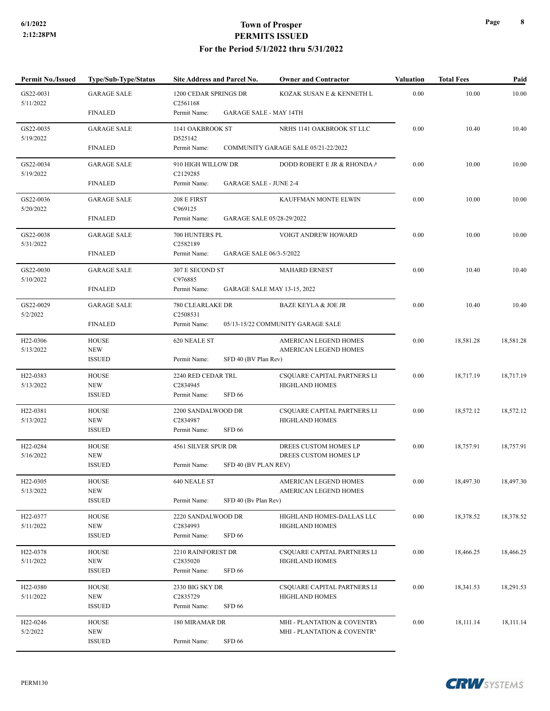| <b>Permit No./Issued</b>           | Type/Sub-Type/Status        | <b>Site Address and Parcel No.</b>            | <b>Owner and Contractor</b>                          | <b>Valuation</b> | <b>Total Fees</b> | Paid      |
|------------------------------------|-----------------------------|-----------------------------------------------|------------------------------------------------------|------------------|-------------------|-----------|
| GS22-0031<br>5/11/2022             | <b>GARAGE SALE</b>          | 1200 CEDAR SPRINGS DR<br>C <sub>2561168</sub> | KOZAK SUSAN E & KENNETH L                            | 0.00             | 10.00             | 10.00     |
|                                    | <b>FINALED</b>              | Permit Name:                                  | <b>GARAGE SALE - MAY 14TH</b>                        |                  |                   |           |
| GS22-0035<br>5/19/2022             | <b>GARAGE SALE</b>          | 1141 OAKBROOK ST<br>D525142                   | NRHS 1141 OAKBROOK ST LLC                            | 0.00             | 10.40             | 10.40     |
|                                    | <b>FINALED</b>              | Permit Name:                                  | COMMUNITY GARAGE SALE 05/21-22/2022                  |                  |                   |           |
| GS22-0034                          | <b>GARAGE SALE</b>          | 910 HIGH WILLOW DR                            | DODD ROBERT E JR & RHONDA /                          | 0.00             | 10.00             | 10.00     |
| 5/19/2022                          | <b>FINALED</b>              | C2129285<br>Permit Name:                      | <b>GARAGE SALE - JUNE 2-4</b>                        |                  |                   |           |
| GS22-0036                          | <b>GARAGE SALE</b>          | 208 E FIRST                                   | KAUFFMAN MONTE ELWIN                                 | 0.00             | 10.00             | 10.00     |
| 5/20/2022                          | <b>FINALED</b>              | C969125<br>Permit Name:                       | GARAGE SALE 05/28-29/2022                            |                  |                   |           |
| GS22-0038                          | <b>GARAGE SALE</b>          | 700 HUNTERS PL                                | VOIGT ANDREW HOWARD                                  | 0.00             | 10.00             | 10.00     |
| 5/31/2022                          | <b>FINALED</b>              | C2582189<br>Permit Name:                      | GARAGE SALE 06/3-5/2022                              |                  |                   |           |
| GS22-0030<br>5/10/2022             | <b>GARAGE SALE</b>          | 307 E SECOND ST<br>C976885                    | <b>MAHARD ERNEST</b>                                 | 0.00             | 10.40             | 10.40     |
|                                    | <b>FINALED</b>              | Permit Name:                                  | <b>GARAGE SALE MAY 13-15, 2022</b>                   |                  |                   |           |
| GS22-0029<br>5/2/2022              | <b>GARAGE SALE</b>          | 780 CLEARLAKE DR<br>C2508531                  | <b>BAZE KEYLA &amp; JOE JR</b>                       | 0.00             | 10.40             | 10.40     |
|                                    | <b>FINALED</b>              | Permit Name:                                  | 05/13-15/22 COMMUNITY GARAGE SALE                    |                  |                   |           |
| H22-0306<br>5/13/2022              | <b>HOUSE</b><br><b>NEW</b>  | 620 NEALE ST                                  | AMERICAN LEGEND HOMES<br>AMERICAN LEGEND HOMES       | 0.00             | 18,581.28         | 18,581.28 |
|                                    | <b>ISSUED</b>               | Permit Name:                                  | SFD 40 (BV Plan Rev)                                 |                  |                   |           |
| H <sub>22</sub> -0383<br>5/13/2022 | <b>HOUSE</b><br><b>NEW</b>  | 2240 RED CEDAR TRL<br>C2834945                | CSQUARE CAPITAL PARTNERS LI<br><b>HIGHLAND HOMES</b> | 0.00             | 18,717.19         | 18,717.19 |
|                                    | <b>ISSUED</b>               | <b>SFD 66</b><br>Permit Name:                 |                                                      |                  |                   |           |
| H <sub>22</sub> -0381              | <b>HOUSE</b>                | 2200 SANDALWOOD DR                            | CSQUARE CAPITAL PARTNERS LI                          | 0.00             | 18,572.12         | 18,572.12 |
| 5/13/2022                          | <b>NEW</b><br><b>ISSUED</b> | C2834987<br><b>SFD 66</b><br>Permit Name:     | <b>HIGHLAND HOMES</b>                                |                  |                   |           |
| H22-0284                           | <b>HOUSE</b>                | 4561 SILVER SPUR DR                           | DREES CUSTOM HOMES LP                                | 0.00             | 18,757.91         | 18,757.91 |
| 5/16/2022                          | <b>NEW</b><br><b>ISSUED</b> | Permit Name:                                  | DREES CUSTOM HOMES LP<br>SFD 40 (BV PLAN REV)        |                  |                   |           |
| H <sub>22</sub> -0305              | <b>HOUSE</b>                | 640 NEALE ST                                  | AMERICAN LEGEND HOMES                                | $0.00\,$         | 18,497.30         | 18,497.30 |
| 5/13/2022                          | <b>NEW</b><br><b>ISSUED</b> | Permit Name:<br>SFD 40 (Bv Plan Rev)          | AMERICAN LEGEND HOMES                                |                  |                   |           |
| H <sub>22</sub> -0377              | <b>HOUSE</b>                | 2220 SANDALWOOD DR                            | HIGHLAND HOMES-DALLAS LLC                            | 0.00             | 18,378.52         | 18,378.52 |
| 5/11/2022                          | <b>NEW</b>                  | C2834993                                      | <b>HIGHLAND HOMES</b>                                |                  |                   |           |
|                                    | <b>ISSUED</b>               | <b>SFD 66</b><br>Permit Name:                 |                                                      |                  |                   |           |
| H <sub>22</sub> -0378<br>5/11/2022 | <b>HOUSE</b><br><b>NEW</b>  | 2210 RAINFOREST DR<br>C2835020                | CSQUARE CAPITAL PARTNERS LI<br><b>HIGHLAND HOMES</b> | 0.00             | 18,466.25         | 18,466.25 |
|                                    | <b>ISSUED</b>               | Permit Name:<br><b>SFD 66</b>                 |                                                      |                  |                   |           |
| H <sub>22</sub> -0380              | <b>HOUSE</b>                | 2330 BIG SKY DR                               | CSQUARE CAPITAL PARTNERS LI                          | 0.00             | 18,341.53         | 18,291.53 |
| 5/11/2022                          | <b>NEW</b><br><b>ISSUED</b> | C2835729<br>Permit Name:<br><b>SFD 66</b>     | <b>HIGHLAND HOMES</b>                                |                  |                   |           |
| H <sub>22</sub> -0246              | <b>HOUSE</b>                | 180 MIRAMAR DR                                | MHI - PLANTATION & COVENTRY                          | $0.00\,$         | 18,111.14         | 18,111.14 |
| 5/2/2022                           | <b>NEW</b><br><b>ISSUED</b> | <b>SFD 66</b><br>Permit Name:                 | MHI - PLANTATION & COVENTRY                          |                  |                   |           |
|                                    |                             |                                               |                                                      |                  |                   |           |

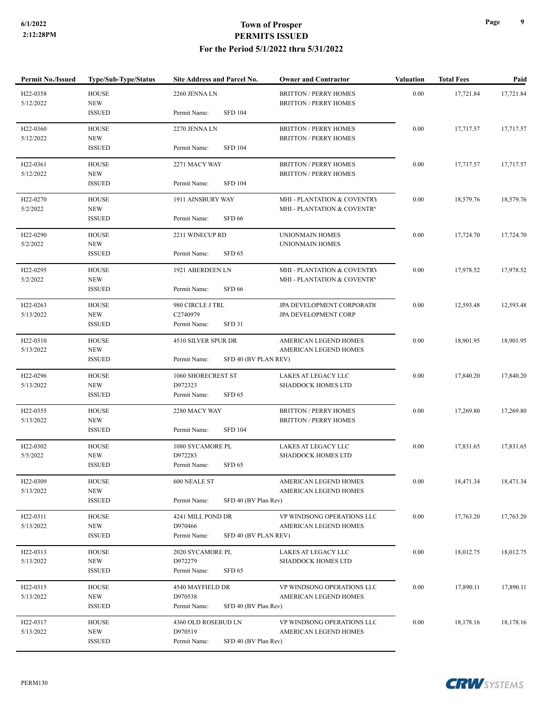| <b>Permit No./Issued</b>           | Type/Sub-Type/Status        | Site Address and Parcel No.       | <b>Owner and Contractor</b>                                  | <b>Valuation</b> | <b>Total Fees</b> | Paid      |
|------------------------------------|-----------------------------|-----------------------------------|--------------------------------------------------------------|------------------|-------------------|-----------|
| H22-0358<br>5/12/2022              | <b>HOUSE</b><br><b>NEW</b>  | 2260 JENNA LN                     | <b>BRITTON / PERRY HOMES</b><br><b>BRITTON / PERRY HOMES</b> | 0.00             | 17,721.84         | 17,721.84 |
|                                    | <b>ISSUED</b>               | <b>SFD 104</b><br>Permit Name:    |                                                              |                  |                   |           |
| H22-0360                           | <b>HOUSE</b>                | 2270 JENNA LN                     | <b>BRITTON / PERRY HOMES</b>                                 | 0.00             | 17,717.57         | 17,717.57 |
| 5/12/2022                          | <b>NEW</b><br><b>ISSUED</b> | Permit Name:<br><b>SFD 104</b>    | <b>BRITTON / PERRY HOMES</b>                                 |                  |                   |           |
|                                    |                             |                                   |                                                              |                  |                   |           |
| H22-0361<br>5/12/2022              | <b>HOUSE</b><br><b>NEW</b>  | 2271 MACY WAY                     | <b>BRITTON / PERRY HOMES</b><br><b>BRITTON / PERRY HOMES</b> | 0.00             | 17,717.57         | 17,717.57 |
|                                    | <b>ISSUED</b>               | Permit Name:<br><b>SFD 104</b>    |                                                              |                  |                   |           |
| H22-0270                           | <b>HOUSE</b>                | 1911 AINSBURY WAY                 | MHI - PLANTATION & COVENTRY                                  | 0.00             | 18,579.76         | 18,579.76 |
| 5/2/2022                           | <b>NEW</b>                  |                                   | MHI - PLANTATION & COVENTRY                                  |                  |                   |           |
|                                    | <b>ISSUED</b>               | SFD 66<br>Permit Name:            |                                                              |                  |                   |           |
| H22-0290                           | <b>HOUSE</b>                | 2211 WINECUP RD                   | UNIONMAIN HOMES                                              | 0.00             | 17,724.70         | 17,724.70 |
| 5/2/2022                           | <b>NEW</b><br><b>ISSUED</b> | Permit Name:<br>SFD <sub>65</sub> | <b>UNIONMAIN HOMES</b>                                       |                  |                   |           |
| H <sub>22</sub> -0295              | <b>HOUSE</b>                | 1921 ABERDEEN LN                  |                                                              | 0.00             | 17,978.52         | 17,978.52 |
| 5/2/2022                           | <b>NEW</b>                  |                                   | MHI - PLANTATION & COVENTRY<br>MHI - PLANTATION & COVENTRY   |                  |                   |           |
|                                    | <b>ISSUED</b>               | <b>SFD 66</b><br>Permit Name:     |                                                              |                  |                   |           |
| H22-0263                           | <b>HOUSE</b>                | 980 CIRCLE J TRL                  | JPA DEVELOPMENT CORPORATIO                                   | 0.00             | 12,593.48         | 12,593.48 |
| <b>NEW</b><br>5/13/2022            |                             | C2740979                          | JPA DEVELOPMENT CORP                                         |                  |                   |           |
|                                    | <b>ISSUED</b>               | <b>SFD 31</b><br>Permit Name:     |                                                              |                  |                   |           |
| H <sub>22</sub> -0310              | <b>HOUSE</b>                | 4510 SILVER SPUR DR               | AMERICAN LEGEND HOMES                                        | 0.00             | 18,901.95         | 18,901.95 |
| 5/13/2022                          | <b>NEW</b><br><b>ISSUED</b> | Permit Name:                      | AMERICAN LEGEND HOMES<br>SFD 40 (BV PLAN REV)                |                  |                   |           |
| H <sub>22</sub> -0296              | <b>HOUSE</b>                | 1060 SHORECREST ST                | LAKES AT LEGACY LLC                                          | 0.00             | 17,840.20         | 17,840.20 |
| 5/13/2022                          | <b>NEW</b>                  | D972323                           | <b>SHADDOCK HOMES LTD</b>                                    |                  |                   |           |
|                                    | <b>ISSUED</b>               | Permit Name:<br>SFD <sub>65</sub> |                                                              |                  |                   |           |
| H <sub>22</sub> -0355              | <b>HOUSE</b>                | 2280 MACY WAY                     | <b>BRITTON / PERRY HOMES</b>                                 | 0.00             | 17,269.80         | 17,269.80 |
| 5/13/2022                          | <b>NEW</b><br><b>ISSUED</b> | Permit Name:<br><b>SFD 104</b>    | <b>BRITTON / PERRY HOMES</b>                                 |                  |                   |           |
|                                    |                             |                                   |                                                              |                  |                   |           |
| H22-0302<br>5/5/2022               | <b>HOUSE</b><br><b>NEW</b>  | 1080 SYCAMORE PL<br>D972283       | LAKES AT LEGACY LLC<br><b>SHADDOCK HOMES LTD</b>             | 0.00             | 17,831.65         | 17,831.65 |
|                                    | <b>ISSUED</b>               | Permit Name:<br>SFD <sub>65</sub> |                                                              |                  |                   |           |
| H22-0309                           | <b>HOUSE</b>                | 600 NEALE ST                      | AMERICAN LEGEND HOMES                                        | 0.00             | 18,471.34         | 18,471.34 |
| 5/13/2022                          | <b>NEW</b>                  |                                   | AMERICAN LEGEND HOMES                                        |                  |                   |           |
|                                    | <b>ISSUED</b>               | Permit Name:                      | SFD 40 (BV Plan Rev)                                         |                  |                   |           |
| H22-0311                           | <b>HOUSE</b>                | 4241 MILL POND DR                 | VP WINDSONG OPERATIONS LLC                                   | 0.00             | 17,763.20         | 17,763.20 |
| 5/13/2022                          | <b>NEW</b><br><b>ISSUED</b> | D970466<br>Permit Name:           | AMERICAN LEGEND HOMES<br>SFD 40 (BV PLAN REV)                |                  |                   |           |
|                                    |                             |                                   |                                                              |                  |                   |           |
| H <sub>22</sub> -0313<br>5/13/2022 | <b>HOUSE</b><br><b>NEW</b>  | 2020 SYCAMORE PL<br>D972279       | LAKES AT LEGACY LLC<br><b>SHADDOCK HOMES LTD</b>             | 0.00             | 18,012.75         | 18,012.75 |
|                                    | <b>ISSUED</b>               | Permit Name:<br>SFD <sub>65</sub> |                                                              |                  |                   |           |
| H <sub>22</sub> -0315              | <b>HOUSE</b>                | 4540 MAYFIELD DR                  | VP WINDSONG OPERATIONS LLC                                   | 0.00             | 17,890.11         | 17,890.11 |
| 5/13/2022                          | <b>NEW</b>                  | D970538                           | AMERICAN LEGEND HOMES                                        |                  |                   |           |
|                                    | <b>ISSUED</b>               | Permit Name:                      | SFD 40 (BV Plan Rev)                                         |                  |                   |           |
| H22-0317                           | <b>HOUSE</b>                | 4360 OLD ROSEBUD LN               | VP WINDSONG OPERATIONS LLC                                   | 0.00             | 18,178.16         | 18,178.16 |
| 5/13/2022                          | <b>NEW</b>                  | D970519                           | AMERICAN LEGEND HOMES                                        |                  |                   |           |
|                                    | <b>ISSUED</b>               | Permit Name:                      | SFD 40 (BV Plan Rev)                                         |                  |                   |           |

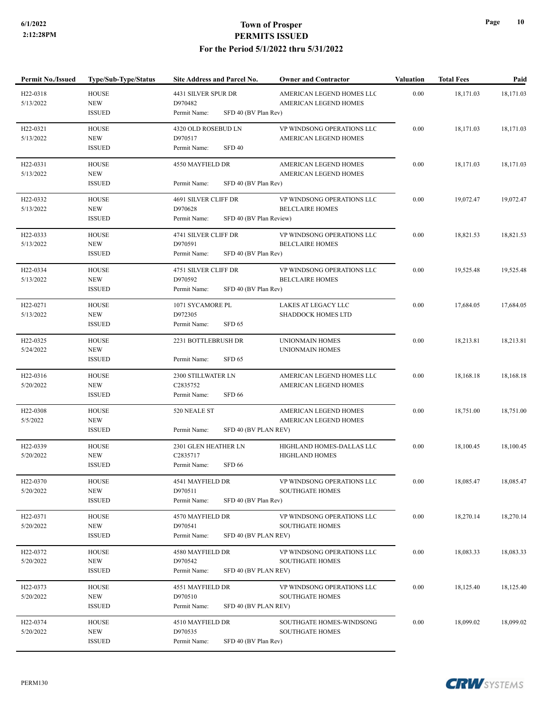| <b>Permit No./Issued</b>           | Type/Sub-Type/Status       | Site Address and Parcel No.             | <b>Owner and Contractor</b>                        | <b>Valuation</b> | <b>Total Fees</b> | Paid      |
|------------------------------------|----------------------------|-----------------------------------------|----------------------------------------------------|------------------|-------------------|-----------|
| H <sub>22</sub> -0318<br>5/13/2022 | <b>HOUSE</b><br><b>NEW</b> | 4431 SILVER SPUR DR<br>D970482          | AMERICAN LEGEND HOMES LLC<br>AMERICAN LEGEND HOMES | 0.00             | 18,171.03         | 18,171.03 |
|                                    | <b>ISSUED</b>              | SFD 40 (BV Plan Rev)<br>Permit Name:    |                                                    |                  |                   |           |
| H22-0321                           | <b>HOUSE</b>               | 4320 OLD ROSEBUD LN                     | VP WINDSONG OPERATIONS LLC                         | 0.00             | 18,171.03         | 18,171.03 |
| 5/13/2022                          | <b>NEW</b>                 | D970517                                 | AMERICAN LEGEND HOMES                              |                  |                   |           |
|                                    | <b>ISSUED</b>              | <b>SFD 40</b><br>Permit Name:           |                                                    |                  |                   |           |
| H22-0331                           | <b>HOUSE</b>               | 4550 MAYFIELD DR                        | <b>AMERICAN LEGEND HOMES</b>                       | 0.00             | 18,171.03         | 18,171.03 |
| 5/13/2022                          | <b>NEW</b>                 |                                         | AMERICAN LEGEND HOMES                              |                  |                   |           |
|                                    | <b>ISSUED</b>              | Permit Name:<br>SFD 40 (BV Plan Rev)    |                                                    |                  |                   |           |
| H22-0332                           | <b>HOUSE</b>               | 4691 SILVER CLIFF DR                    | VP WINDSONG OPERATIONS LLC                         | 0.00             | 19,072.47         | 19,072.47 |
| 5/13/2022                          | <b>NEW</b>                 | D970628                                 | <b>BELCLAIRE HOMES</b>                             |                  |                   |           |
|                                    | <b>ISSUED</b>              | SFD 40 (BV Plan Review)<br>Permit Name: |                                                    |                  |                   |           |
| H22-0333                           | <b>HOUSE</b>               | 4741 SILVER CLIFF DR                    | VP WINDSONG OPERATIONS LLC                         | 0.00             | 18,821.53         | 18,821.53 |
| 5/13/2022                          | <b>NEW</b>                 | D970591                                 | <b>BELCLAIRE HOMES</b>                             |                  |                   |           |
|                                    | <b>ISSUED</b>              | Permit Name:<br>SFD 40 (BV Plan Rev)    |                                                    |                  |                   |           |
| H22-0334                           | <b>HOUSE</b>               | 4751 SILVER CLIFF DR                    | VP WINDSONG OPERATIONS LLC                         | 0.00             | 19.525.48         | 19,525.48 |
| 5/13/2022                          | <b>NEW</b>                 | D970592                                 | <b>BELCLAIRE HOMES</b>                             |                  |                   |           |
|                                    | <b>ISSUED</b>              | Permit Name:<br>SFD 40 (BV Plan Rev)    |                                                    |                  |                   |           |
| H22-0271                           | <b>HOUSE</b>               | 1071 SYCAMORE PL                        | LAKES AT LEGACY LLC                                | 0.00             | 17,684.05         | 17,684.05 |
| 5/13/2022                          | <b>NEW</b>                 | D972305                                 | <b>SHADDOCK HOMES LTD</b>                          |                  |                   |           |
|                                    | <b>ISSUED</b>              | SFD <sub>65</sub><br>Permit Name:       |                                                    |                  |                   |           |
| H22-0325                           | <b>HOUSE</b>               | 2231 BOTTLEBRUSH DR                     | <b>UNIONMAIN HOMES</b>                             | 0.00             | 18,213.81         | 18,213.81 |
| 5/24/2022                          | <b>NEW</b>                 |                                         | <b>UNIONMAIN HOMES</b>                             |                  |                   |           |
|                                    | <b>ISSUED</b>              | Permit Name:<br>SFD <sub>65</sub>       |                                                    |                  |                   |           |
| H <sub>22</sub> -0316              | <b>HOUSE</b>               | 2300 STILLWATER LN                      | AMERICAN LEGEND HOMES LLC                          | 0.00             | 18,168.18         | 18,168.18 |
| 5/20/2022                          | <b>NEW</b>                 | C2835752                                | AMERICAN LEGEND HOMES                              |                  |                   |           |
|                                    | <b>ISSUED</b>              | Permit Name:<br>SFD <sub>66</sub>       |                                                    |                  |                   |           |
| H22-0308                           | <b>HOUSE</b>               | 520 NEALE ST                            | AMERICAN LEGEND HOMES                              | 0.00             | 18,751.00         | 18,751.00 |
| 5/5/2022                           | <b>NEW</b>                 |                                         | AMERICAN LEGEND HOMES                              |                  |                   |           |
|                                    | <b>ISSUED</b>              | Permit Name:<br>SFD 40 (BV PLAN REV)    |                                                    |                  |                   |           |
| H <sub>22</sub> -0339              | <b>HOUSE</b>               | 2301 GLEN HEATHER LN                    | HIGHLAND HOMES-DALLAS LLC                          | 0.00             | 18,100.45         | 18,100.45 |
| 5/20/2022                          | <b>NEW</b>                 | C2835717                                | <b>HIGHLAND HOMES</b>                              |                  |                   |           |
|                                    | <b>ISSUED</b>              | <b>SFD 66</b><br>Permit Name:           |                                                    |                  |                   |           |
| H22-0370                           | <b>HOUSE</b>               | 4541 MAYFIELD DR                        | VP WINDSONG OPERATIONS LLC                         | $0.00\,$         | 18,085.47         | 18,085.47 |
| 5/20/2022                          | <b>NEW</b>                 | D970511                                 | <b>SOUTHGATE HOMES</b>                             |                  |                   |           |
|                                    | <b>ISSUED</b>              | Permit Name:<br>SFD 40 (BV Plan Rev)    |                                                    |                  |                   |           |
| H22-0371                           | <b>HOUSE</b>               | 4570 MAYFIELD DR                        | VP WINDSONG OPERATIONS LLC                         | 0.00             | 18,270.14         | 18,270.14 |
| 5/20/2022                          | <b>NEW</b>                 | D970541                                 | <b>SOUTHGATE HOMES</b>                             |                  |                   |           |
|                                    | <b>ISSUED</b>              | SFD 40 (BV PLAN REV)<br>Permit Name:    |                                                    |                  |                   |           |
| H22-0372                           | <b>HOUSE</b>               | 4580 MAYFIELD DR                        | VP WINDSONG OPERATIONS LLC                         | 0.00             | 18,083.33         | 18,083.33 |
| 5/20/2022                          | <b>NEW</b>                 | D970542                                 | <b>SOUTHGATE HOMES</b>                             |                  |                   |           |
|                                    | <b>ISSUED</b>              | Permit Name:<br>SFD 40 (BV PLAN REV)    |                                                    |                  |                   |           |
| H <sub>22</sub> -0373              | <b>HOUSE</b>               | 4551 MAYFIELD DR                        | VP WINDSONG OPERATIONS LLC                         | $0.00\,$         | 18,125.40         | 18,125.40 |
| 5/20/2022                          | <b>NEW</b>                 | D970510                                 | <b>SOUTHGATE HOMES</b>                             |                  |                   |           |
|                                    | <b>ISSUED</b>              | Permit Name:<br>SFD 40 (BV PLAN REV)    |                                                    |                  |                   |           |
| H <sub>22</sub> -0374              | <b>HOUSE</b>               | 4510 MAYFIELD DR                        | SOUTHGATE HOMES-WINDSONG                           | 0.00             | 18,099.02         | 18,099.02 |
| 5/20/2022                          | <b>NEW</b>                 | D970535                                 | <b>SOUTHGATE HOMES</b>                             |                  |                   |           |
|                                    | <b>ISSUED</b>              | SFD 40 (BV Plan Rev)<br>Permit Name:    |                                                    |                  |                   |           |

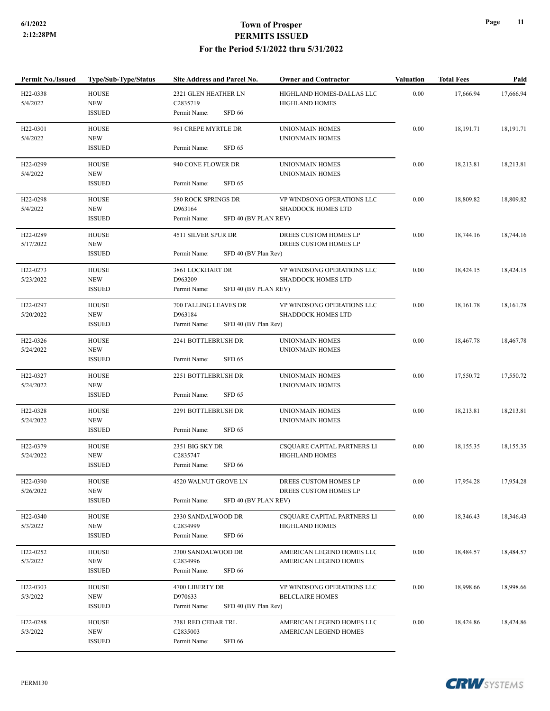| <b>Permit No./Issued</b> | <b>Type/Sub-Type/Status</b> | Site Address and Parcel No.                     | <b>Owner and Contractor</b>                        | <b>Valuation</b> | <b>Total Fees</b> | Paid      |
|--------------------------|-----------------------------|-------------------------------------------------|----------------------------------------------------|------------------|-------------------|-----------|
| H22-0338<br>5/4/2022     | <b>HOUSE</b><br><b>NEW</b>  | 2321 GLEN HEATHER LN<br>C2835719                | HIGHLAND HOMES-DALLAS LLC<br><b>HIGHLAND HOMES</b> | 0.00             | 17,666.94         | 17,666.94 |
|                          | <b>ISSUED</b>               | <b>SFD 66</b><br>Permit Name:                   |                                                    |                  |                   |           |
| H22-0301                 | <b>HOUSE</b>                | 961 CREPE MYRTLE DR                             | UNIONMAIN HOMES                                    | 0.00             | 18,191.71         | 18,191.71 |
| 5/4/2022                 | <b>NEW</b>                  |                                                 | UNIONMAIN HOMES                                    |                  |                   |           |
|                          | <b>ISSUED</b>               | Permit Name:<br>SFD <sub>65</sub>               |                                                    |                  |                   |           |
| H22-0299                 | <b>HOUSE</b>                | 940 CONE FLOWER DR                              | <b>UNIONMAIN HOMES</b>                             | 0.00             | 18,213.81         | 18,213.81 |
| 5/4/2022                 | <b>NEW</b><br><b>ISSUED</b> | Permit Name:<br>SFD <sub>65</sub>               | UNIONMAIN HOMES                                    |                  |                   |           |
| H <sub>22</sub> -0298    | <b>HOUSE</b>                | 580 ROCK SPRINGS DR                             | VP WINDSONG OPERATIONS LLC                         | 0.00             | 18,809.82         | 18,809.82 |
| 5/4/2022                 | <b>NEW</b>                  | D963164                                         | <b>SHADDOCK HOMES LTD</b>                          |                  |                   |           |
|                          | <b>ISSUED</b>               | SFD 40 (BV PLAN REV)<br>Permit Name:            |                                                    |                  |                   |           |
| H22-0289                 | <b>HOUSE</b>                | 4511 SILVER SPUR DR                             | DREES CUSTOM HOMES LP                              | 0.00             | 18,744.16         | 18,744.16 |
| 5/17/2022                | <b>NEW</b>                  |                                                 | DREES CUSTOM HOMES LP                              |                  |                   |           |
|                          | <b>ISSUED</b>               | Permit Name:<br>SFD 40 (BV Plan Rev)            |                                                    |                  |                   |           |
| H22-0273                 | <b>HOUSE</b>                | 3861 LOCKHART DR                                | VP WINDSONG OPERATIONS LLC                         | 0.00             | 18,424.15         | 18,424.15 |
| 5/23/2022                | <b>NEW</b>                  | D963209                                         | <b>SHADDOCK HOMES LTD</b>                          |                  |                   |           |
|                          | <b>ISSUED</b>               | Permit Name:<br>SFD 40 (BV PLAN REV)            |                                                    |                  |                   |           |
| H22-0297                 | <b>HOUSE</b>                | 700 FALLING LEAVES DR                           | VP WINDSONG OPERATIONS LLC                         | 0.00             | 18,161.78         | 18,161.78 |
| 5/20/2022                | <b>NEW</b>                  | D963184                                         | <b>SHADDOCK HOMES LTD</b>                          |                  |                   |           |
|                          | <b>ISSUED</b>               | SFD 40 (BV Plan Rev)<br>Permit Name:            |                                                    |                  |                   |           |
| H <sub>22</sub> -0326    | <b>HOUSE</b>                | 2241 BOTTLEBRUSH DR                             | UNIONMAIN HOMES                                    | 0.00             | 18,467.78         | 18,467.78 |
| 5/24/2022                | <b>NEW</b>                  |                                                 | UNIONMAIN HOMES                                    |                  |                   |           |
|                          | <b>ISSUED</b>               | Permit Name:<br>SFD <sub>65</sub>               |                                                    |                  |                   |           |
| H22-0327                 | <b>HOUSE</b>                | 2251 BOTTLEBRUSH DR                             | UNIONMAIN HOMES                                    | 0.00             | 17,550.72         | 17,550.72 |
| 5/24/2022                | <b>NEW</b><br><b>ISSUED</b> | Permit Name:<br>SFD <sub>65</sub>               | <b>UNIONMAIN HOMES</b>                             |                  |                   |           |
|                          |                             |                                                 |                                                    |                  |                   |           |
| H22-0328                 | <b>HOUSE</b>                | 2291 BOTTLEBRUSH DR                             | <b>UNIONMAIN HOMES</b>                             | 0.00             | 18,213.81         | 18,213.81 |
| 5/24/2022                | <b>NEW</b><br><b>ISSUED</b> | Permit Name:<br>SFD <sub>65</sub>               | UNIONMAIN HOMES                                    |                  |                   |           |
|                          |                             |                                                 |                                                    |                  |                   |           |
| H <sub>22</sub> -0379    | <b>HOUSE</b>                | 2351 BIG SKY DR                                 | CSQUARE CAPITAL PARTNERS LI                        | 0.00             | 18,155.35         | 18,155.35 |
| 5/24/2022                | <b>NEW</b><br><b>ISSUED</b> | C2835747<br><b>SFD 66</b><br>Permit Name:       | <b>HIGHLAND HOMES</b>                              |                  |                   |           |
|                          |                             |                                                 |                                                    |                  |                   |           |
| H22-0390                 | <b>HOUSE</b>                | 4520 WALNUT GROVE LN                            | DREES CUSTOM HOMES LP                              | 0.00             | 17,954.28         | 17,954.28 |
| 5/26/2022                | <b>NEW</b><br><b>ISSUED</b> | Permit Name:<br>SFD 40 (BV PLAN REV)            | DREES CUSTOM HOMES LP                              |                  |                   |           |
|                          |                             |                                                 |                                                    |                  |                   |           |
| H <sub>22</sub> -0340    | <b>HOUSE</b>                | 2330 SANDALWOOD DR                              | CSQUARE CAPITAL PARTNERS LI                        | 0.00             | 18,346.43         | 18,346.43 |
| 5/3/2022                 | <b>NEW</b><br><b>ISSUED</b> | C2834999<br>SFD 66<br>Permit Name:              | <b>HIGHLAND HOMES</b>                              |                  |                   |           |
|                          |                             |                                                 |                                                    |                  |                   |           |
| H <sub>22</sub> -0252    | <b>HOUSE</b>                | 2300 SANDALWOOD DR                              | AMERICAN LEGEND HOMES LLC                          | 0.00             | 18,484.57         | 18,484.57 |
| 5/3/2022                 | <b>NEW</b><br><b>ISSUED</b> | C2834996<br>Permit Name:<br><b>SFD 66</b>       | AMERICAN LEGEND HOMES                              |                  |                   |           |
|                          |                             |                                                 |                                                    |                  |                   |           |
| H <sub>22</sub> -0303    | <b>HOUSE</b>                | 4700 LIBERTY DR                                 | VP WINDSONG OPERATIONS LLC                         | $0.00\,$         | 18,998.66         | 18,998.66 |
| 5/3/2022                 | <b>NEW</b><br><b>ISSUED</b> | D970633<br>Permit Name:<br>SFD 40 (BV Plan Rev) | <b>BELCLAIRE HOMES</b>                             |                  |                   |           |
|                          |                             |                                                 |                                                    |                  |                   |           |
| H22-0288                 | <b>HOUSE</b>                | 2381 RED CEDAR TRL                              | AMERICAN LEGEND HOMES LLC                          | $0.00\,$         | 18,424.86         | 18,424.86 |
| 5/3/2022                 | <b>NEW</b>                  | C2835003                                        | AMERICAN LEGEND HOMES                              |                  |                   |           |
|                          | <b>ISSUED</b>               | SFD 66<br>Permit Name:                          |                                                    |                  |                   |           |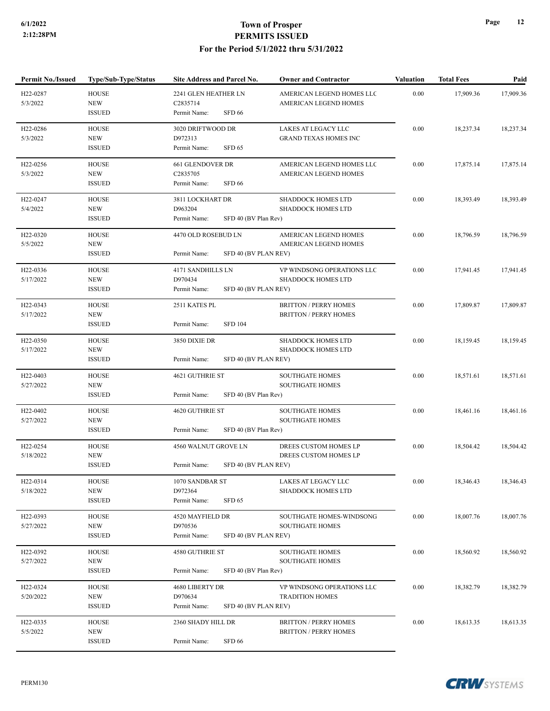| <b>Permit No./Issued</b> | <b>Type/Sub-Type/Status</b> | Site Address and Parcel No.          | <b>Owner and Contractor</b>  | <b>Valuation</b> | <b>Total Fees</b> | Paid      |
|--------------------------|-----------------------------|--------------------------------------|------------------------------|------------------|-------------------|-----------|
| H22-0287                 | <b>HOUSE</b>                | 2241 GLEN HEATHER LN                 | AMERICAN LEGEND HOMES LLC    | 0.00             | 17,909.36         | 17,909.36 |
| 5/3/2022                 | <b>NEW</b>                  | C2835714                             | AMERICAN LEGEND HOMES        |                  |                   |           |
|                          | <b>ISSUED</b>               | <b>SFD 66</b><br>Permit Name:        |                              |                  |                   |           |
| H22-0286                 | <b>HOUSE</b>                | 3020 DRIFTWOOD DR                    | LAKES AT LEGACY LLC          | 0.00             | 18,237.34         | 18,237.34 |
| 5/3/2022                 | <b>NEW</b>                  | D972313                              | <b>GRAND TEXAS HOMES INC</b> |                  |                   |           |
|                          | <b>ISSUED</b>               | <b>SFD 65</b><br>Permit Name:        |                              |                  |                   |           |
| H22-0256                 | <b>HOUSE</b>                | 661 GLENDOVER DR                     | AMERICAN LEGEND HOMES LLC    | 0.00             | 17,875.14         | 17,875.14 |
| 5/3/2022                 | <b>NEW</b>                  | C2835705                             | AMERICAN LEGEND HOMES        |                  |                   |           |
|                          | <b>ISSUED</b>               | <b>SFD 66</b><br>Permit Name:        |                              |                  |                   |           |
| H22-0247                 | <b>HOUSE</b>                | 3811 LOCKHART DR                     | SHADDOCK HOMES LTD           | 0.00             | 18,393.49         | 18,393.49 |
| 5/4/2022                 | <b>NEW</b>                  | D963204                              | <b>SHADDOCK HOMES LTD</b>    |                  |                   |           |
|                          | <b>ISSUED</b>               | SFD 40 (BV Plan Rev)<br>Permit Name: |                              |                  |                   |           |
| H22-0320                 | <b>HOUSE</b>                | 4470 OLD ROSEBUD LN                  | AMERICAN LEGEND HOMES        | 0.00             | 18,796.59         | 18,796.59 |
| 5/5/2022                 | <b>NEW</b>                  |                                      | AMERICAN LEGEND HOMES        |                  |                   |           |
|                          | <b>ISSUED</b>               | Permit Name:<br>SFD 40 (BV PLAN REV) |                              |                  |                   |           |
| H22-0336                 | <b>HOUSE</b>                | 4171 SANDHILLS LN                    | VP WINDSONG OPERATIONS LLC   | 0.00             | 17,941.45         | 17,941.45 |
| 5/17/2022                | <b>NEW</b>                  | D970434                              | <b>SHADDOCK HOMES LTD</b>    |                  |                   |           |
|                          | <b>ISSUED</b>               | Permit Name:<br>SFD 40 (BV PLAN REV) |                              |                  |                   |           |
| H <sub>22</sub> -0343    | <b>HOUSE</b>                | 2511 KATES PL                        | <b>BRITTON / PERRY HOMES</b> | 0.00             | 17,809.87         | 17,809.87 |
| 5/17/2022                | <b>NEW</b>                  |                                      | <b>BRITTON / PERRY HOMES</b> |                  |                   |           |
|                          | <b>ISSUED</b>               | Permit Name:<br><b>SFD 104</b>       |                              |                  |                   |           |
| H <sub>22</sub> -0350    | <b>HOUSE</b>                | 3850 DIXIE DR                        | SHADDOCK HOMES LTD           | 0.00             | 18,159.45         | 18,159.45 |
| 5/17/2022                | <b>NEW</b>                  |                                      | <b>SHADDOCK HOMES LTD</b>    |                  |                   |           |
|                          | <b>ISSUED</b>               | Permit Name:<br>SFD 40 (BV PLAN REV) |                              |                  |                   |           |
| H <sub>22</sub> -0403    | <b>HOUSE</b>                | 4621 GUTHRIE ST                      | <b>SOUTHGATE HOMES</b>       | 0.00             | 18,571.61         | 18,571.61 |
| 5/27/2022                | <b>NEW</b>                  |                                      | <b>SOUTHGATE HOMES</b>       |                  |                   |           |
|                          | <b>ISSUED</b>               | Permit Name:<br>SFD 40 (BV Plan Rev) |                              |                  |                   |           |
| H22-0402                 | <b>HOUSE</b>                | 4620 GUTHRIE ST                      | SOUTHGATE HOMES              | 0.00             | 18,461.16         | 18,461.16 |
| 5/27/2022                | <b>NEW</b>                  |                                      | <b>SOUTHGATE HOMES</b>       |                  |                   |           |
|                          | <b>ISSUED</b>               | Permit Name:<br>SFD 40 (BV Plan Rev) |                              |                  |                   |           |
| H22-0254                 | <b>HOUSE</b>                | 4560 WALNUT GROVE LN                 | DREES CUSTOM HOMES LP        | 0.00             | 18,504.42         | 18,504.42 |
| 5/18/2022                | <b>NEW</b>                  |                                      | DREES CUSTOM HOMES LP        |                  |                   |           |
|                          | <b>ISSUED</b>               | SFD 40 (BV PLAN REV)<br>Permit Name: |                              |                  |                   |           |
| H22-0314                 | <b>HOUSE</b>                | 1070 SANDBAR ST                      | LAKES AT LEGACY LLC          | 0.00             | 18,346.43         | 18,346.43 |
| 5/18/2022                | <b>NEW</b>                  | D972364                              | <b>SHADDOCK HOMES LTD</b>    |                  |                   |           |
|                          | <b>ISSUED</b>               | Permit Name:<br>SFD <sub>65</sub>    |                              |                  |                   |           |
| H22-0393                 | <b>HOUSE</b>                | 4520 MAYFIELD DR                     | SOUTHGATE HOMES-WINDSONG     | 0.00             | 18,007.76         | 18,007.76 |
| 5/27/2022                | <b>NEW</b>                  | D970536                              | <b>SOUTHGATE HOMES</b>       |                  |                   |           |
|                          | <b>ISSUED</b>               | SFD 40 (BV PLAN REV)<br>Permit Name: |                              |                  |                   |           |
| H22-0392                 | <b>HOUSE</b>                | 4580 GUTHRIE ST                      | <b>SOUTHGATE HOMES</b>       | 0.00             | 18,560.92         | 18,560.92 |
| 5/27/2022                | <b>NEW</b>                  |                                      | <b>SOUTHGATE HOMES</b>       |                  |                   |           |
|                          | <b>ISSUED</b>               | Permit Name:<br>SFD 40 (BV Plan Rev) |                              |                  |                   |           |
| H22-0324                 | <b>HOUSE</b>                | 4680 LIBERTY DR                      | VP WINDSONG OPERATIONS LLC   | $0.00\,$         | 18,382.79         | 18,382.79 |
| 5/20/2022                | <b>NEW</b>                  | D970634                              | <b>TRADITION HOMES</b>       |                  |                   |           |
|                          | <b>ISSUED</b>               | Permit Name:<br>SFD 40 (BV PLAN REV) |                              |                  |                   |           |
| H <sub>22</sub> -0335    | <b>HOUSE</b>                | 2360 SHADY HILL DR                   | <b>BRITTON / PERRY HOMES</b> | 0.00             | 18,613.35         | 18,613.35 |
| 5/5/2022                 | <b>NEW</b>                  |                                      | <b>BRITTON / PERRY HOMES</b> |                  |                   |           |
|                          | <b>ISSUED</b>               | Permit Name:<br>SFD 66               |                              |                  |                   |           |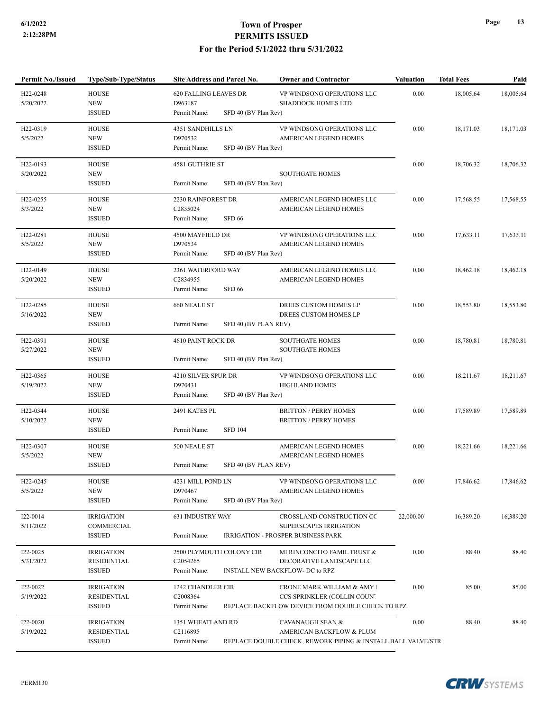| <b>Permit No./Issued</b>           | <b>Type/Sub-Type/Status</b>           | Site Address and Parcel No.                     | <b>Owner and Contractor</b>                                  | Valuation | <b>Total Fees</b> | Paid      |
|------------------------------------|---------------------------------------|-------------------------------------------------|--------------------------------------------------------------|-----------|-------------------|-----------|
| H22-0248<br>5/20/2022              | <b>HOUSE</b><br><b>NEW</b>            | 620 FALLING LEAVES DR<br>D963187                | VP WINDSONG OPERATIONS LLC<br><b>SHADDOCK HOMES LTD</b>      | 0.00      | 18,005.64         | 18,005.64 |
|                                    | <b>ISSUED</b>                         | SFD 40 (BV Plan Rev)<br>Permit Name:            |                                                              |           |                   |           |
| H <sub>22</sub> -0319              | <b>HOUSE</b>                          | 4351 SANDHILLS LN                               | VP WINDSONG OPERATIONS LLC                                   | 0.00      | 18,171.03         | 18,171.03 |
| 5/5/2022                           | <b>NEW</b><br><b>ISSUED</b>           | D970532<br>Permit Name:<br>SFD 40 (BV Plan Rev) | <b>AMERICAN LEGEND HOMES</b>                                 |           |                   |           |
|                                    |                                       |                                                 |                                                              |           |                   |           |
| H <sub>22</sub> -0193<br>5/20/2022 | <b>HOUSE</b><br><b>NEW</b>            | 4581 GUTHRIE ST                                 | <b>SOUTHGATE HOMES</b>                                       | 0.00      | 18,706.32         | 18,706.32 |
|                                    | <b>ISSUED</b>                         | Permit Name:<br>SFD 40 (BV Plan Rev)            |                                                              |           |                   |           |
| H <sub>22</sub> -0255              | <b>HOUSE</b>                          | 2230 RAINFOREST DR                              | AMERICAN LEGEND HOMES LLC                                    | 0.00      | 17,568.55         | 17,568.55 |
| 5/3/2022                           | <b>NEW</b>                            | C2835024                                        | AMERICAN LEGEND HOMES                                        |           |                   |           |
|                                    | <b>ISSUED</b>                         | <b>SFD 66</b><br>Permit Name:                   |                                                              |           |                   |           |
| H22-0281                           | <b>HOUSE</b>                          | 4500 MAYFIELD DR                                | VP WINDSONG OPERATIONS LLC                                   | 0.00      | 17,633.11         | 17,633.11 |
| 5/5/2022                           | <b>NEW</b>                            | D970534<br>SFD 40 (BV Plan Rev)                 | AMERICAN LEGEND HOMES                                        |           |                   |           |
|                                    | <b>ISSUED</b>                         | Permit Name:                                    |                                                              |           |                   |           |
| H <sub>22</sub> -0149              | <b>HOUSE</b>                          | 2361 WATERFORD WAY                              | AMERICAN LEGEND HOMES LLC                                    | 0.00      | 18,462.18         | 18,462.18 |
| 5/20/2022                          | <b>NEW</b><br>$\operatorname{ISSUED}$ | C2834955<br><b>SFD 66</b><br>Permit Name:       | AMERICAN LEGEND HOMES                                        |           |                   |           |
|                                    |                                       |                                                 |                                                              |           |                   |           |
| H22-0285<br>5/16/2022              | <b>HOUSE</b><br><b>NEW</b>            | 660 NEALE ST                                    | DREES CUSTOM HOMES LP<br>DREES CUSTOM HOMES LP               | 0.00      | 18,553.80         | 18,553.80 |
|                                    | <b>ISSUED</b>                         | SFD 40 (BV PLAN REV)<br>Permit Name:            |                                                              |           |                   |           |
| H22-0391                           | <b>HOUSE</b>                          | 4610 PAINT ROCK DR                              | SOUTHGATE HOMES                                              | 0.00      | 18,780.81         | 18,780.81 |
| 5/27/2022                          | <b>NEW</b>                            |                                                 | <b>SOUTHGATE HOMES</b>                                       |           |                   |           |
|                                    | <b>ISSUED</b>                         | Permit Name:<br>SFD 40 (BV Plan Rev)            |                                                              |           |                   |           |
| H <sub>22</sub> -0365              | <b>HOUSE</b>                          | 4210 SILVER SPUR DR                             | VP WINDSONG OPERATIONS LLC                                   | 0.00      | 18,211.67         | 18,211.67 |
| 5/19/2022                          | <b>NEW</b>                            | D970431                                         | <b>HIGHLAND HOMES</b>                                        |           |                   |           |
|                                    | <b>ISSUED</b>                         | Permit Name:<br>SFD 40 (BV Plan Rev)            |                                                              |           |                   |           |
| H22-0344                           | <b>HOUSE</b>                          | 2491 KATES PL                                   | <b>BRITTON / PERRY HOMES</b>                                 | 0.00      | 17,589.89         | 17,589.89 |
| 5/10/2022                          | <b>NEW</b><br><b>ISSUED</b>           | <b>SFD 104</b><br>Permit Name:                  | <b>BRITTON / PERRY HOMES</b>                                 |           |                   |           |
|                                    |                                       |                                                 |                                                              |           |                   |           |
| H <sub>22</sub> -0307<br>5/5/2022  | <b>HOUSE</b><br><b>NEW</b>            | 500 NEALE ST                                    | AMERICAN LEGEND HOMES<br>AMERICAN LEGEND HOMES               | 0.00      | 18,221.66         | 18,221.66 |
|                                    | <b>ISSUED</b>                         | Permit Name:<br>SFD 40 (BV PLAN REV)            |                                                              |           |                   |           |
| H <sub>22</sub> -0245              | <b>HOUSE</b>                          | 4231 MILL POND LN                               | VP WINDSONG OPERATIONS LLC                                   | 0.00      | 17,846.62         | 17,846.62 |
| 5/5/2022                           | <b>NEW</b>                            | D970467                                         | AMERICAN LEGEND HOMES                                        |           |                   |           |
|                                    | <b>ISSUED</b>                         | Permit Name:<br>SFD 40 (BV Plan Rev)            |                                                              |           |                   |           |
| I22-0014                           | <b>IRRIGATION</b>                     | 631 INDUSTRY WAY                                | CROSSLAND CONSTRUCTION CC                                    | 22,000.00 | 16,389.20         | 16,389.20 |
| 5/11/2022                          | COMMERCIAL                            |                                                 | SUPERSCAPES IRRIGATION                                       |           |                   |           |
|                                    | <b>ISSUED</b>                         | Permit Name:                                    | <b>IRRIGATION - PROSPER BUSINESS PARK</b>                    |           |                   |           |
| I22-0025                           | <b>IRRIGATION</b>                     | 2500 PLYMOUTH COLONY CIR                        | MI RINCONCITO FAMIL TRUST &                                  | 0.00      | 88.40             | 88.40     |
| 5/31/2022                          | <b>RESIDENTIAL</b>                    | C2054265                                        | DECORATIVE LANDSCAPE LLC                                     |           |                   |           |
|                                    | <b>ISSUED</b>                         | Permit Name:                                    | <b>INSTALL NEW BACKFLOW- DC to RPZ</b>                       |           |                   |           |
| I22-0022                           | <b>IRRIGATION</b>                     | 1242 CHANDLER CIR                               | CRONE MARK WILLIAM & AMY !                                   | 0.00      | 85.00             | 85.00     |
| 5/19/2022                          | RESIDENTIAL                           | C2008364                                        | CCS SPRINKLER (COLLIN COUN'                                  |           |                   |           |
|                                    | <b>ISSUED</b>                         | Permit Name:                                    | REPLACE BACKFLOW DEVICE FROM DOUBLE CHECK TO RPZ             |           |                   |           |
| I22-0020                           | <b>IRRIGATION</b>                     | 1351 WHEATLAND RD                               | <b>CAVANAUGH SEAN &amp;</b>                                  | 0.00      | 88.40             | 88.40     |
| 5/19/2022                          | RESIDENTIAL                           | C2116895                                        | AMERICAN BACKFLOW & PLUM                                     |           |                   |           |
|                                    | <b>ISSUED</b>                         | Permit Name:                                    | REPLACE DOUBLE CHECK, REWORK PIPING & INSTALL BALL VALVE/STR |           |                   |           |

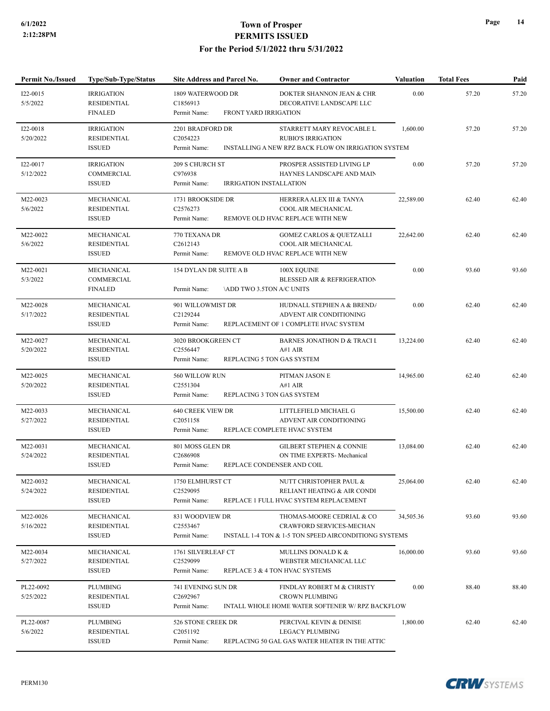| <b>Permit No./Issued</b> | Type/Sub-Type/Status                                      | Site Address and Parcel No.                                                  | <b>Owner and Contractor</b>                                                                                    | <b>Valuation</b> | <b>Total Fees</b> | Paid  |
|--------------------------|-----------------------------------------------------------|------------------------------------------------------------------------------|----------------------------------------------------------------------------------------------------------------|------------------|-------------------|-------|
| I22-0015<br>5/5/2022     | <b>IRRIGATION</b><br><b>RESIDENTIAL</b><br><b>FINALED</b> | 1809 WATERWOOD DR<br>C1856913<br>FRONT YARD IRRIGATION<br>Permit Name:       | DOKTER SHANNON JEAN & CHR<br>DECORATIVE LANDSCAPE LLC                                                          | 0.00             | 57.20             | 57.20 |
| I22-0018<br>5/20/2022    | <b>IRRIGATION</b><br>RESIDENTIAL<br><b>ISSUED</b>         | 2201 BRADFORD DR<br>C2054223<br>Permit Name:                                 | STARRETT MARY REVOCABLE L<br><b>RUBIO'S IRRIGATION</b><br>INSTALLING A NEW RPZ BACK FLOW ON IRRIGATION SYSTEM  | 1,600.00         | 57.20             | 57.20 |
| I22-0017<br>5/12/2022    | <b>IRRIGATION</b><br>COMMERCIAL<br><b>ISSUED</b>          | 209 S CHURCH ST<br>C976938<br>Permit Name:<br><b>IRRIGATION INSTALLATION</b> | PROSPER ASSISTED LIVING LP<br>HAYNES LANDSCAPE AND MAIN                                                        | 0.00             | 57.20             | 57.20 |
| M22-0023<br>5/6/2022     | MECHANICAL<br><b>RESIDENTIAL</b><br><b>ISSUED</b>         | 1731 BROOKSIDE DR<br>C <sub>2576273</sub><br>Permit Name:                    | HERRERA ALEX III & TANYA<br>COOL AIR MECHANICAL<br>REMOVE OLD HVAC REPLACE WITH NEW                            | 22,589.00        | 62.40             | 62.40 |
| M22-0022<br>5/6/2022     | MECHANICAL<br><b>RESIDENTIAL</b><br><b>ISSUED</b>         | 770 TEXANA DR<br>C <sub>2612143</sub><br>Permit Name:                        | <b>GOMEZ CARLOS &amp; QUETZALLI</b><br>COOL AIR MECHANICAL<br>REMOVE OLD HVAC REPLACE WITH NEW                 | 22,642.00        | 62.40             | 62.40 |
| M22-0021<br>5/3/2022     | MECHANICAL<br>COMMERCIAL<br><b>FINALED</b>                | 154 DYLAN DR SUITE A B<br><b>ADD TWO 3.5TON A/C UNITS</b><br>Permit Name:    | 100X EQUINE<br><b>BLESSED AIR &amp; REFRIGERATION</b>                                                          | 0.00             | 93.60             | 93.60 |
| M22-0028<br>5/17/2022    | MECHANICAL<br><b>RESIDENTIAL</b><br><b>ISSUED</b>         | 901 WILLOWMIST DR<br>C2129244<br>Permit Name:                                | HUDNALL STEPHEN A & BREND/<br>ADVENT AIR CONDITIONING<br>REPLACEMENT OF 1 COMPLETE HVAC SYSTEM                 | 0.00             | 62.40             | 62.40 |
| M22-0027<br>5/20/2022    | MECHANICAL<br>RESIDENTIAL<br><b>ISSUED</b>                | 3020 BROOKGREEN CT<br>C2556447<br>Permit Name:                               | <b>BARNES JONATHON D &amp; TRACI I</b><br>A#1 AIR<br>REPLACING 5 TON GAS SYSTEM                                | 13,224.00        | 62.40             | 62.40 |
| M22-0025<br>5/20/2022    | MECHANICAL<br>RESIDENTIAL<br><b>ISSUED</b>                | 560 WILLOW RUN<br>C2551304<br>Permit Name:                                   | PITMAN JASON E<br>A#1 AIR<br>REPLACING 3 TON GAS SYSTEM                                                        | 14,965.00        | 62.40             | 62.40 |
| M22-0033<br>5/27/2022    | MECHANICAL<br>RESIDENTIAL<br><b>ISSUED</b>                | 640 CREEK VIEW DR<br>C <sub>2051158</sub><br>Permit Name:                    | LITTLEFIELD MICHAEL G<br>ADVENT AIR CONDITIONING<br>REPLACE COMPLETE HVAC SYSTEM                               | 15,500.00        | 62.40             | 62.40 |
| M22-0031<br>5/24/2022    | MECHANICAL<br><b>RESIDENTIAL</b><br><b>ISSUED</b>         | 801 MOSS GLEN DR<br>C2686908<br>Permit Name:                                 | <b>GILBERT STEPHEN &amp; CONNIE</b><br>ON TIME EXPERTS- Mechanical<br>REPLACE CONDENSER AND COIL               | 13,084.00        | 62.40             | 62.40 |
| M22-0032<br>5/24/2022    | MECHANICAL<br><b>RESIDENTIAL</b><br><b>ISSUED</b>         | 1750 ELMHURST CT<br>C2529095<br>Permit Name:                                 | NUTT CHRISTOPHER PAUL &<br>RELIANT HEATING & AIR CONDI<br>REPLACE 1 FULL HVAC SYSTEM REPLACEMENT               | 25,064.00        | 62.40             | 62.40 |
| M22-0026<br>5/16/2022    | MECHANICAL<br><b>RESIDENTIAL</b><br><b>ISSUED</b>         | 831 WOODVIEW DR<br>C2553467<br>Permit Name:                                  | THOMAS-MOORE CEDRIAL & CO<br>CRAWFORD SERVICES-MECHAN<br>INSTALL 1-4 TON & 1-5 TON SPEED AIRCONDITIONG SYSTEMS | 34,505.36        | 93.60             | 93.60 |
| M22-0034<br>5/27/2022    | MECHANICAL<br><b>RESIDENTIAL</b><br><b>ISSUED</b>         | 1761 SILVERLEAF CT<br>C2529099<br>Permit Name:                               | MULLINS DONALD K &<br>WEBSTER MECHANICAL LLC<br>REPLACE 3 & 4 TON HVAC SYSTEMS                                 | 16,000.00        | 93.60             | 93.60 |
| PL22-0092<br>5/25/2022   | PLUMBING<br><b>RESIDENTIAL</b><br><b>ISSUED</b>           | 741 EVENING SUN DR<br>C2692967<br>Permit Name:                               | FINDLAY ROBERT M & CHRISTY<br><b>CROWN PLUMBING</b><br>INTALL WHOLE HOME WATER SOFTENER W/ RPZ BACKFLOW        | 0.00             | 88.40             | 88.40 |
| PL22-0087<br>5/6/2022    | PLUMBING<br><b>RESIDENTIAL</b><br><b>ISSUED</b>           | 526 STONE CREEK DR<br>C <sub>2051192</sub><br>Permit Name:                   | PERCIVAL KEVIN & DENISE<br><b>LEGACY PLUMBING</b><br>REPLACING 50 GAL GAS WATER HEATER IN THE ATTIC            | 1,800.00         | 62.40             | 62.40 |

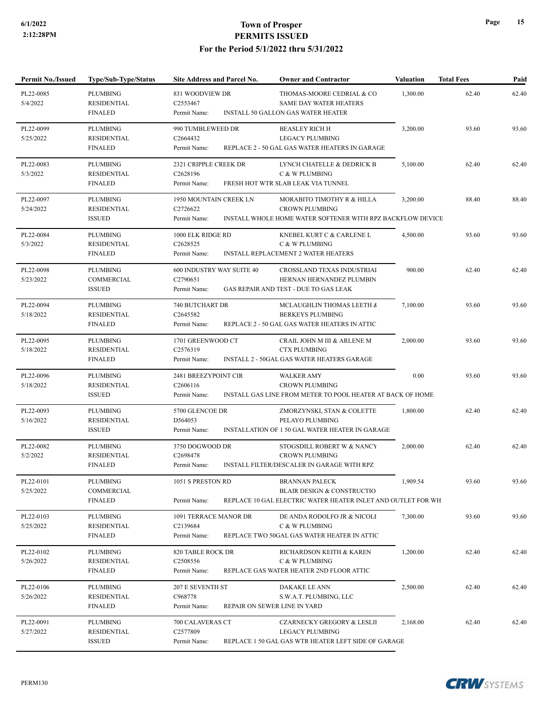| <b>Permit No./Issued</b> | <b>Type/Sub-Type/Status</b>                             | Site Address and Parcel No.                               | <b>Owner and Contractor</b>                                                                                                    | <b>Valuation</b> | <b>Total Fees</b> | Paid  |
|--------------------------|---------------------------------------------------------|-----------------------------------------------------------|--------------------------------------------------------------------------------------------------------------------------------|------------------|-------------------|-------|
| PL22-0085<br>5/4/2022    | <b>PLUMBING</b><br><b>RESIDENTIAL</b><br><b>FINALED</b> | 831 WOODVIEW DR<br>C <sub>2553467</sub><br>Permit Name:   | THOMAS-MOORE CEDRIAL & CO<br><b>SAME DAY WATER HEATERS</b><br><b>INSTALL 50 GALLON GAS WATER HEATER</b>                        | 1,300.00         | 62.40             | 62.40 |
| PL22-0099<br>5/25/2022   | <b>PLUMBING</b><br><b>RESIDENTIAL</b><br><b>FINALED</b> | 990 TUMBLEWEED DR<br>C2664432<br>Permit Name:             | <b>BEASLEY RICH H</b><br><b>LEGACY PLUMBING</b><br>REPLACE 2 - 50 GAL GAS WATER HEATERS IN GARAGE                              | 3,200.00         | 93.60             | 93.60 |
| PL22-0083<br>5/3/2022    | <b>PLUMBING</b><br><b>RESIDENTIAL</b><br><b>FINALED</b> | 2321 CRIPPLE CREEK DR<br>C2628196<br>Permit Name:         | LYNCH CHATELLE & DEDRICK B<br>C & W PLUMBING<br>FRESH HOT WTR SLAB LEAK VIA TUNNEL                                             | 5,100.00         | 62.40             | 62.40 |
| PL22-0097<br>5/24/2022   | <b>PLUMBING</b><br>RESIDENTIAL<br><b>ISSUED</b>         | <b>1950 MOUNTAIN CREEK LN</b><br>C2726622<br>Permit Name: | MORABITO TIMOTHY R & HILLA<br>CROWN PLUMBING<br>INSTALL WHOLE HOME WATER SOFTENER WITH RPZ BACKFLOW DEVICE                     | 3,200.00         | 88.40             | 88.40 |
| PL22-0084<br>5/3/2022    | <b>PLUMBING</b><br><b>RESIDENTIAL</b><br><b>FINALED</b> | 1000 ELK RIDGE RD<br>C2628525<br>Permit Name:             | KNEBEL KURT C & CARLENE L<br>C & W PLUMBING<br><b>INSTALL REPLACEMENT 2 WATER HEATERS</b>                                      | 4,500.00         | 93.60             | 93.60 |
| PL22-0098<br>5/23/2022   | <b>PLUMBING</b><br>COMMERCIAL<br><b>ISSUED</b>          | 600 INDUSTRY WAY SUITE 40<br>C2790651<br>Permit Name:     | <b>CROSSLAND TEXAS INDUSTRIAI</b><br>HERNAN HERNANDEZ PLUMBIN<br>GAS REPAIR AND TEST - DUE TO GAS LEAK                         | 900.00           | 62.40             | 62.40 |
| PL22-0094<br>5/18/2022   | <b>PLUMBING</b><br><b>RESIDENTIAL</b><br><b>FINALED</b> | 740 BUTCHART DR<br>C2645582<br>Permit Name:               | MCLAUGHLIN THOMAS LEETH &<br><b>BERKEYS PLUMBING</b><br>REPLACE 2 - 50 GAL GAS WATER HEATERS IN ATTIC                          | 7,100.00         | 93.60             | 93.60 |
| PL22-0095<br>5/18/2022   | <b>PLUMBING</b><br><b>RESIDENTIAL</b><br><b>FINALED</b> | 1701 GREENWOOD CT<br>C2576319<br>Permit Name:             | CRAIL JOHN M III & ARLENE M<br><b>CTX PLUMBING</b><br><b>INSTALL 2 - 50GAL GAS WATER HEATERS GARAGE</b>                        | 2,000.00         | 93.60             | 93.60 |
| PL22-0096<br>5/18/2022   | PLUMBING<br><b>RESIDENTIAL</b><br><b>ISSUED</b>         | 2481 BREEZYPOINT CIR<br>C2606116<br>Permit Name:          | <b>WALKER AMY</b><br><b>CROWN PLUMBING</b><br>INSTALL GAS LINE FROM METER TO POOL HEATER AT BACK OF HOME                       | 0.00             | 93.60             | 93.60 |
| PL22-0093<br>5/16/2022   | <b>PLUMBING</b><br><b>RESIDENTIAL</b><br><b>ISSUED</b>  | 5700 GLENCOE DR<br>D564053<br>Permit Name:                | ZMORZYNSKI, STAN & COLETTE<br>PELAYO PLUMBING<br>INSTALLATION OF 1 50 GAL WATER HEATER IN GARAGE                               | 1,800.00         | 62.40             | 62.40 |
| PL22-0082<br>5/2/2022    | <b>PLUMBING</b><br><b>RESIDENTIAL</b><br><b>FINALED</b> | 3750 DOGWOOD DR<br>C2698478<br>Permit Name:               | STOGSDILL ROBERT W & NANCY<br><b>CROWN PLUMBING</b><br>INSTALL FILTER/DESCALER IN GARAGE WITH RPZ                              | 2,000.00         | 62.40             | 62.40 |
| PL22-0101<br>5/25/2022   | PLUMBING<br>COMMERCIAL<br><b>FINALED</b>                | 1051 S PRESTON RD<br>Permit Name:                         | <b>BRANNAN PALECK</b><br><b>BLAIR DESIGN &amp; CONSTRUCTIO</b><br>REPLACE 10 GAL ELECTRIC WATER HEATER INLET AND OUTLET FOR WH | 1,909.54         | 93.60             | 93.60 |
| PL22-0103<br>5/25/2022   | PLUMBING<br><b>RESIDENTIAL</b><br><b>FINALED</b>        | 1091 TERRACE MANOR DR<br>C2139684<br>Permit Name:         | DE ANDA RODOLFO JR & NICOLI<br>C & W PLUMBING<br>REPLACE TWO 50GAL GAS WATER HEATER IN ATTIC                                   | 7,300.00         | 93.60             | 93.60 |
| PL22-0102<br>5/26/2022   | PLUMBING<br><b>RESIDENTIAL</b><br><b>FINALED</b>        | 820 TABLE ROCK DR<br>C2508556<br>Permit Name:             | RICHARDSON KEITH & KAREN<br>C & W PLUMBING<br>REPLACE GAS WATER HEATER 2ND FLOOR ATTIC                                         | 1,200.00         | 62.40             | 62.40 |
| PL22-0106<br>5/26/2022   | PLUMBING<br>RESIDENTIAL<br><b>FINALED</b>               | 207 E SEVENTH ST<br>C968778<br>Permit Name:               | DAKAKE LE ANN<br>S.W.A.T. PLUMBING, LLC<br>REPAIR ON SEWER LINE IN YARD                                                        | 2,500.00         | 62.40             | 62.40 |
| PL22-0091<br>5/27/2022   | PLUMBING<br><b>RESIDENTIAL</b><br><b>ISSUED</b>         | 700 CALAVERAS CT<br>C2577809<br>Permit Name:              | <b>CZARNECKY GREGORY &amp; LESLII</b><br><b>LEGACY PLUMBING</b><br>REPLACE 1 50 GAL GAS WTR HEATER LEFT SIDE OF GARAGE         | 2,168.00         | 62.40             | 62.40 |

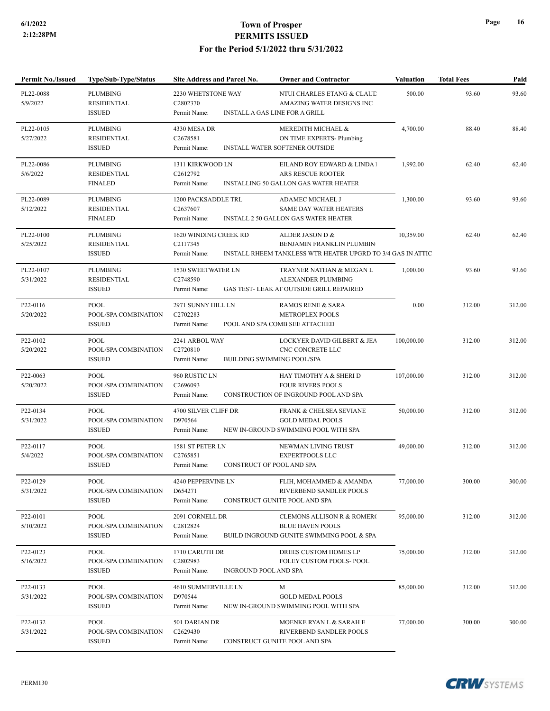| Permit No./Issued                  | Type/Sub-Type/Status                                   | Site Address and Parcel No.                                         | <b>Owner and Contractor</b>                                                                                 | <b>Valuation</b> | <b>Total Fees</b> | Paid   |
|------------------------------------|--------------------------------------------------------|---------------------------------------------------------------------|-------------------------------------------------------------------------------------------------------------|------------------|-------------------|--------|
| PL22-0088<br>5/9/2022              | <b>PLUMBING</b><br><b>RESIDENTIAL</b><br><b>ISSUED</b> | 2230 WHETSTONE WAY<br>C2802370<br>Permit Name:                      | NTUI CHARLES ETANG & CLAUL<br>AMAZING WATER DESIGNS INC<br><b>INSTALL A GAS LINE FOR A GRILL</b>            | 500.00           | 93.60             | 93.60  |
| PL22-0105<br>5/27/2022             | <b>PLUMBING</b><br>RESIDENTIAL<br><b>ISSUED</b>        | 4330 MESA DR<br>C2678581<br>Permit Name:                            | MEREDITH MICHAEL &<br>ON TIME EXPERTS- Plumbing<br>INSTALL WATER SOFTENER OUTSIDE                           | 4,700.00         | 88.40             | 88.40  |
| PL22-0086<br>5/6/2022              | <b>PLUMBING</b><br>RESIDENTIAL<br><b>FINALED</b>       | 1311 KIRKWOOD LN<br>C2612792<br>Permit Name:                        | EILAND ROY EDWARD & LINDA!<br>ARS RESCUE ROOTER<br>INSTALLING 50 GALLON GAS WATER HEATER                    | 1,992.00         | 62.40             | 62.40  |
| PL22-0089<br>5/12/2022             | PLUMBING<br>RESIDENTIAL<br><b>FINALED</b>              | 1200 PACKSADDLE TRL<br>C2637607<br>Permit Name:                     | ADAMEC MICHAEL J<br>SAME DAY WATER HEATERS<br>INSTALL 2 50 GALLON GAS WATER HEATER                          | 1,300.00         | 93.60             | 93.60  |
| PL22-0100<br>5/25/2022             | <b>PLUMBING</b><br><b>RESIDENTIAL</b><br><b>ISSUED</b> | 1620 WINDING CREEK RD<br>C2117345<br>Permit Name:                   | ALDER JASON D &<br>BENJAMIN FRANKLIN PLUMBIN<br>INSTALL RHEEM TANKLESS WTR HEATER UPGRD TO 3/4 GAS IN ATTIC | 10,359.00        | 62.40             | 62.40  |
| PL22-0107<br>5/31/2022             | <b>PLUMBING</b><br>RESIDENTIAL<br><b>ISSUED</b>        | 1530 SWEETWATER LN<br>C2748590<br>Permit Name:                      | TRAYNER NATHAN & MEGAN L<br>ALEXANDER PLUMBING<br>GAS TEST- LEAK AT OUTSIDE GRILL REPAIRED                  | 1,000.00         | 93.60             | 93.60  |
| P22-0116<br>5/20/2022              | <b>POOL</b><br>POOL/SPA COMBINATION<br><b>ISSUED</b>   | 2971 SUNNY HILL LN<br>C2702283<br>Permit Name:                      | <b>RAMOS RENE &amp; SARA</b><br><b>METROPLEX POOLS</b><br>POOL AND SPA COMB SEE ATTACHED                    | 0.00             | 312.00            | 312.00 |
| P22-0102<br>5/20/2022              | <b>POOL</b><br>POOL/SPA COMBINATION<br><b>ISSUED</b>   | 2241 ARBOL WAY<br>C2720810<br>Permit Name:                          | LOCKYER DAVID GILBERT & JEA<br>CNC CONCRETE LLC<br><b>BUILDING SWIMMING POOL/SPA</b>                        | 100,000.00       | 312.00            | 312.00 |
| P22-0063<br>5/20/2022              | <b>POOL</b><br>POOL/SPA COMBINATION<br><b>ISSUED</b>   | 960 RUSTIC LN<br>C2696093<br>Permit Name:                           | HAY TIMOTHY A & SHERI D<br><b>FOUR RIVERS POOLS</b><br>CONSTRUCTION OF INGROUND POOL AND SPA                | 107,000.00       | 312.00            | 312.00 |
| P22-0134<br>5/31/2022              | POOL<br>POOL/SPA COMBINATION<br><b>ISSUED</b>          | 4700 SILVER CLIFF DR<br>D970564<br>Permit Name:                     | FRANK & CHELSEA SEVIANE<br><b>GOLD MEDAL POOLS</b><br>NEW IN-GROUND SWIMMING POOL WITH SPA                  | 50,000.00        | 312.00            | 312.00 |
| P22-0117<br>5/4/2022               | <b>POOL</b><br>POOL/SPA COMBINATION<br><b>ISSUED</b>   | 1581 ST PETER LN<br>C2765851<br>Permit Name:                        | NEWMAN LIVING TRUST<br><b>EXPERTPOOLS LLC</b><br>CONSTRUCT OF POOL AND SPA                                  | 49,000.00        | 312.00            | 312.00 |
| P <sub>22</sub> -0129<br>5/31/2022 | POOL<br>POOL/SPA COMBINATION<br><b>ISSUED</b>          | 4240 PEPPERVINE LN<br>D654271<br>Permit Name:                       | FLIH, MOHAMMED & AMANDA<br>RIVERBEND SANDLER POOLS<br>CONSTRUCT GUNITE POOL AND SPA                         | 77,000.00        | 300.00            | 300.00 |
| P22-0101<br>5/10/2022              | <b>POOL</b><br>POOL/SPA COMBINATION<br><b>ISSUED</b>   | 2091 CORNELL DR<br>C2812824<br>Permit Name:                         | CLEMONS ALLISON R & ROMERO<br><b>BLUE HAVEN POOLS</b><br>BUILD INGROUND GUNITE SWIMMING POOL & SPA          | 95,000.00        | 312.00            | 312.00 |
| P22-0123<br>5/16/2022              | <b>POOL</b><br>POOL/SPA COMBINATION<br><b>ISSUED</b>   | 1710 CARUTH DR<br>C2802983<br>Permit Name:<br>INGROUND POOL AND SPA | DREES CUSTOM HOMES LP<br>FOLEY CUSTOM POOLS- POOL                                                           | 75,000.00        | 312.00            | 312.00 |
| P22-0133<br>5/31/2022              | POOL<br>POOL/SPA COMBINATION<br><b>ISSUED</b>          | 4610 SUMMERVILLE LN<br>D970544<br>Permit Name:                      | M<br><b>GOLD MEDAL POOLS</b><br>NEW IN-GROUND SWIMMING POOL WITH SPA                                        | 85,000.00        | 312.00            | 312.00 |
| P22-0132<br>5/31/2022              | <b>POOL</b><br>POOL/SPA COMBINATION<br><b>ISSUED</b>   | 501 DARIAN DR<br>C2629430<br>Permit Name:                           | MOENKE RYAN L & SARAH E<br>RIVERBEND SANDLER POOLS<br>CONSTRUCT GUNITE POOL AND SPA                         | 77,000.00        | 300.00            | 300.00 |

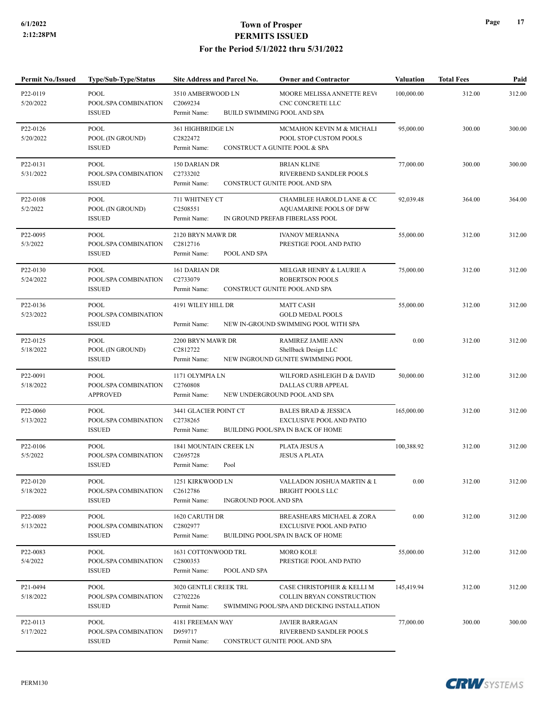P22-0119

### **6/1/2022 Town of Prosper PERMITS ISSUED For the Period 5/1/2022 thru 5/31/2022**

**Permit No./Issued Type/Sub-Type/Status Site Address and Parcel No. Owner and Contractor Valuation Total Fees Paid**

MOORE MELISSA ANNETTE REVOCABLE TRUST POOL 100,000.00 312.00 312.00

3510 AMBERWOOD LN

| 5/20/2022                          | POOL/SPA COMBINATION<br><b>ISSUED</b>                | C2069234<br>Permit Name:                                                     | CNC CONCRETE LLC<br><b>BUILD SWIMMING POOL AND SPA</b>                                                         |            |        |        |
|------------------------------------|------------------------------------------------------|------------------------------------------------------------------------------|----------------------------------------------------------------------------------------------------------------|------------|--------|--------|
| P22-0126<br>5/20/2022              | POOL<br>POOL (IN GROUND)<br><b>ISSUED</b>            | 361 HIGHBRIDGE LN<br>C2822472<br>Permit Name:                                | MCMAHON KEVIN M & MICHALI<br>POOL STOP CUSTOM POOLS<br>CONSTRUCT A GUNITE POOL & SPA                           | 95,000.00  | 300.00 | 300.00 |
| P22-0131<br>5/31/2022              | POOL<br>POOL/SPA COMBINATION<br><b>ISSUED</b>        | 150 DARIAN DR<br>C2733202<br>Permit Name:                                    | <b>BRIAN KLINE</b><br>RIVERBEND SANDLER POOLS<br>CONSTRUCT GUNITE POOL AND SPA                                 | 77,000.00  | 300.00 | 300.00 |
| P22-0108<br>5/2/2022               | POOL<br>POOL (IN GROUND)<br><b>ISSUED</b>            | 711 WHITNEY CT<br>C2508551<br>Permit Name:                                   | CHAMBLEE HAROLD LANE & CC<br><b>AQUAMARINE POOLS OF DFW</b><br>IN GROUND PREFAB FIBERLASS POOL                 | 92,039.48  | 364.00 | 364.00 |
| P22-0095<br>5/3/2022               | <b>POOL</b><br>POOL/SPA COMBINATION<br><b>ISSUED</b> | 2120 BRYN MAWR DR<br>C2812716<br>POOL AND SPA<br>Permit Name:                | <b>IVANOV MERIANNA</b><br>PRESTIGE POOL AND PATIO                                                              | 55,000.00  | 312.00 | 312.00 |
| P22-0130<br>5/24/2022              | POOL<br>POOL/SPA COMBINATION<br><b>ISSUED</b>        | 161 DARIAN DR<br>C2733079<br>Permit Name:                                    | MELGAR HENRY & LAURIE A<br><b>ROBERTSON POOLS</b><br>CONSTRUCT GUNITE POOL AND SPA                             | 75,000.00  | 312.00 | 312.00 |
| P22-0136<br>5/23/2022              | POOL<br>POOL/SPA COMBINATION<br><b>ISSUED</b>        | 4191 WILEY HILL DR<br>Permit Name:                                           | <b>MATT CASH</b><br><b>GOLD MEDAL POOLS</b><br>NEW IN-GROUND SWIMMING POOL WITH SPA                            | 55,000.00  | 312.00 | 312.00 |
| P <sub>22</sub> -0125<br>5/18/2022 | POOL<br>POOL (IN GROUND)<br><b>ISSUED</b>            | 2200 BRYN MAWR DR<br>C2812722<br>Permit Name:                                | RAMIREZ JAMIE ANN<br>Shellback Design LLC<br>NEW INGROUND GUNITE SWIMMING POOL                                 | 0.00       | 312.00 | 312.00 |
| P22-0091<br>5/18/2022              | POOL<br>POOL/SPA COMBINATION<br><b>APPROVED</b>      | 1171 OLYMPIA LN<br>C2760808<br>Permit Name:                                  | WILFORD ASHLEIGH D & DAVID<br><b>DALLAS CURB APPEAL</b><br>NEW UNDERGROUND POOL AND SPA                        | 50,000.00  | 312.00 | 312.00 |
| P22-0060<br>5/13/2022              | POOL<br>POOL/SPA COMBINATION<br><b>ISSUED</b>        | 3441 GLACIER POINT CT<br>C2738265<br>Permit Name:                            | <b>BALES BRAD &amp; JESSICA</b><br><b>EXCLUSIVE POOL AND PATIO</b><br><b>BUILDING POOL/SPA IN BACK OF HOME</b> | 165,000.00 | 312.00 | 312.00 |
| P22-0106<br>5/5/2022               | <b>POOL</b><br>POOL/SPA COMBINATION<br><b>ISSUED</b> | <b>1841 MOUNTAIN CREEK LN</b><br>C2695728<br>Permit Name:<br>Pool            | PLATA JESUS A<br><b>JESUS A PLATA</b>                                                                          | 100,388.92 | 312.00 | 312.00 |
| P <sub>22</sub> -0120<br>5/18/2022 | POOL<br>POOL/SPA COMBINATION<br>ISSUED               | 1251 KIRKWOOD LN<br>C2612786<br>Permit Name:<br><b>INGROUND POOL AND SPA</b> | VALLADON JOSHUA MARTIN & L<br><b>BRIGHT POOLS LLC</b>                                                          | 0.00       | 312.00 | 312.00 |
| P22-0089<br>5/13/2022              | POOL<br>POOL/SPA COMBINATION<br><b>ISSUED</b>        | 1620 CARUTH DR<br>C2802977<br>Permit Name:                                   | <b>BREASHEARS MICHAEL &amp; ZORA</b><br><b>EXCLUSIVE POOL AND PATIO</b><br>BUILDING POOL/SPA IN BACK OF HOME   | 0.00       | 312.00 | 312.00 |
| P22-0083<br>5/4/2022               | POOL<br>POOL/SPA COMBINATION<br><b>ISSUED</b>        | 1631 COTTONWOOD TRL<br>C2800353<br>Permit Name:<br>POOL AND SPA              | <b>MORO KOLE</b><br>PRESTIGE POOL AND PATIO                                                                    | 55,000.00  | 312.00 | 312.00 |
| P21-0494<br>5/18/2022              | POOL<br>POOL/SPA COMBINATION<br><b>ISSUED</b>        | 3020 GENTLE CREEK TRL<br>C2702226<br>Permit Name:                            | CASE CHRISTOPHER & KELLI M<br>COLLIN BRYAN CONSTRUCTION<br>SWIMMING POOL/SPA AND DECKING INSTALLATION          | 145,419.94 | 312.00 | 312.00 |
| P22-0113<br>5/17/2022              | POOL<br>POOL/SPA COMBINATION<br><b>ISSUED</b>        | 4181 FREEMAN WAY<br>D959717<br>Permit Name:                                  | <b>JAVIER BARRAGAN</b><br>RIVERBEND SANDLER POOLS<br>CONSTRUCT GUNITE POOL AND SPA                             | 77,000.00  | 300.00 | 300.00 |

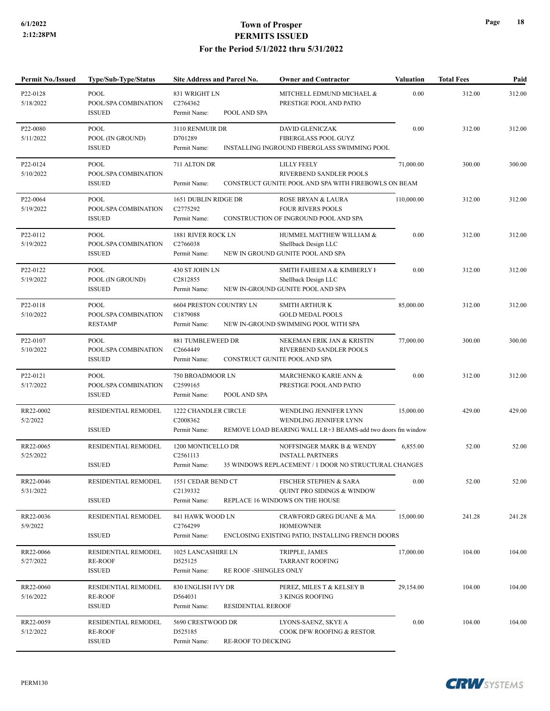| <b>Permit No./Issued</b> | <b>Type/Sub-Type/Status</b>                            | Site Address and Parcel No.                                                | <b>Owner and Contractor</b>                                                                                     | <b>Valuation</b> | <b>Total Fees</b> | Paid   |
|--------------------------|--------------------------------------------------------|----------------------------------------------------------------------------|-----------------------------------------------------------------------------------------------------------------|------------------|-------------------|--------|
| P22-0128<br>5/18/2022    | <b>POOL</b><br>POOL/SPA COMBINATION<br><b>ISSUED</b>   | 831 WRIGHT LN<br>C2764362<br>POOL AND SPA<br>Permit Name:                  | MITCHELL EDMUND MICHAEL &<br>PRESTIGE POOL AND PATIO                                                            | 0.00             | 312.00            | 312.00 |
| P22-0080<br>5/11/2022    | POOL<br>POOL (IN GROUND)<br><b>ISSUED</b>              | 3110 RENMUIR DR<br>D701289<br>Permit Name:                                 | <b>DAVID GLENICZAK</b><br>FIBERGLASS POOL GUYZ<br>INSTALLING INGROUND FIBERGLASS SWIMMING POOL                  | 0.00             | 312.00            | 312.00 |
| P22-0124<br>5/10/2022    | POOL<br>POOL/SPA COMBINATION<br><b>ISSUED</b>          | 711 ALTON DR<br>Permit Name:                                               | <b>LILLY FEELY</b><br>RIVERBEND SANDLER POOLS<br>CONSTRUCT GUNITE POOL AND SPA WITH FIREBOWLS ON BEAM           | 71,000.00        | 300.00            | 300.00 |
| P22-0064<br>5/19/2022    | <b>POOL</b><br>POOL/SPA COMBINATION<br><b>ISSUED</b>   | 1651 DUBLIN RIDGE DR<br>C2775292<br>Permit Name:                           | ROSE BRYAN & LAURA<br><b>FOUR RIVERS POOLS</b><br>CONSTRUCTION OF INGROUND POOL AND SPA                         | 110,000.00       | 312.00            | 312.00 |
| P22-0112<br>5/19/2022    | POOL<br>POOL/SPA COMBINATION<br><b>ISSUED</b>          | 1881 RIVER ROCK LN<br>C2766038<br>Permit Name:                             | HUMMEL MATTHEW WILLIAM &<br>Shellback Design LLC<br>NEW IN GROUND GUNITE POOL AND SPA                           | 0.00             | 312.00            | 312.00 |
| P22-0122<br>5/19/2022    | POOL<br>POOL (IN GROUND)<br><b>ISSUED</b>              | 430 ST JOHN LN<br>C2812855<br>Permit Name:                                 | SMITH FAHEEM A & KIMBERLY I<br>Shellback Design LLC<br>NEW IN-GROUND GUNITE POOL AND SPA                        | 0.00             | 312.00            | 312.00 |
| P22-0118<br>5/10/2022    | POOL<br>POOL/SPA COMBINATION<br><b>RESTAMP</b>         | 6604 PRESTON COUNTRY LN<br>C1879088<br>Permit Name:                        | <b>SMITH ARTHUR K</b><br><b>GOLD MEDAL POOLS</b><br>NEW IN-GROUND SWIMMING POOL WITH SPA                        | 85,000.00        | 312.00            | 312.00 |
| P22-0107<br>5/10/2022    | <b>POOL</b><br>POOL/SPA COMBINATION<br><b>ISSUED</b>   | 881 TUMBLEWEED DR<br>C2664449<br>Permit Name:                              | NEKEMAN ERIK JAN & KRISTIN<br>RIVERBEND SANDLER POOLS<br>CONSTRUCT GUNITE POOL AND SPA                          | 77,000.00        | 300.00            | 300.00 |
| P22-0121<br>5/17/2022    | POOL<br>POOL/SPA COMBINATION<br><b>ISSUED</b>          | 750 BROADMOOR LN<br>C2599165<br>POOL AND SPA<br>Permit Name:               | MARCHENKO KARIE ANN &<br>PRESTIGE POOL AND PATIO                                                                | 0.00             | 312.00            | 312.00 |
| RR22-0002<br>5/2/2022    | RESIDENTIAL REMODEL<br><b>ISSUED</b>                   | 1222 CHANDLER CIRCLE<br>C2008362<br>Permit Name:                           | WENDLING JENNIFER LYNN<br>WENDLING JENNIFER LYNN<br>REMOVE LOAD BEARING WALL LR+3 BEAMS-add two doors fm window | 15,000.00        | 429.00            | 429.00 |
| RR22-0065<br>5/25/2022   | RESIDENTIAL REMODEL<br><b>ISSUED</b>                   | 1200 MONTICELLO DR<br>C <sub>2561113</sub><br>Permit Name:                 | NOFFSINGER MARK B & WENDY<br><b>INSTALL PARTNERS</b><br>35 WINDOWS REPLACEMENT / 1 DOOR NO STRUCTURAL CHANGES   | 6,855.00         | 52.00             | 52.00  |
| RR22-0046<br>5/31/2022   | RESIDENTIAL REMODEL<br><b>ISSUED</b>                   | 1551 CEDAR BEND CT<br>C2139332<br>Permit Name:                             | FISCHER STEPHEN & SARA<br>QUINT PRO SIDINGS & WINDOW<br>REPLACE 16 WINDOWS ON THE HOUSE                         | 0.00             | 52.00             | 52.00  |
| RR22-0036<br>5/9/2022    | RESIDENTIAL REMODEL<br><b>ISSUED</b>                   | 841 HAWK WOOD LN<br>C2764299<br>Permit Name:                               | CRAWFORD GREG DUANE & MA<br><b>HOMEOWNER</b><br>ENCLOSING EXISTING PATIO, INSTALLING FRENCH DOORS               | 15,000.00        | 241.28            | 241.28 |
| RR22-0066<br>5/27/2022   | RESIDENTIAL REMODEL<br><b>RE-ROOF</b><br><b>ISSUED</b> | 1025 LANCASHIRE LN<br>D525125<br>Permit Name:                              | TRIPPLE, JAMES<br><b>TARRANT ROOFING</b><br>RE ROOF -SHINGLES ONLY                                              | 17,000.00        | 104.00            | 104.00 |
| RR22-0060<br>5/16/2022   | RESIDENTIAL REMODEL<br><b>RE-ROOF</b><br><b>ISSUED</b> | 830 ENGLISH IVY DR<br>D564031<br>Permit Name:<br><b>RESIDENTIAL REROOF</b> | PEREZ, MILES T & KELSEY B<br>3 KINGS ROOFING                                                                    | 29,154.00        | 104.00            | 104.00 |
| RR22-0059<br>5/12/2022   | RESIDENTIAL REMODEL<br><b>RE-ROOF</b><br><b>ISSUED</b> | 5690 CRESTWOOD DR<br>D525185<br><b>RE-ROOF TO DECKING</b><br>Permit Name:  | LYONS-SAENZ, SKYE A<br>COOK DFW ROOFING & RESTOR.                                                               | 0.00             | 104.00            | 104.00 |



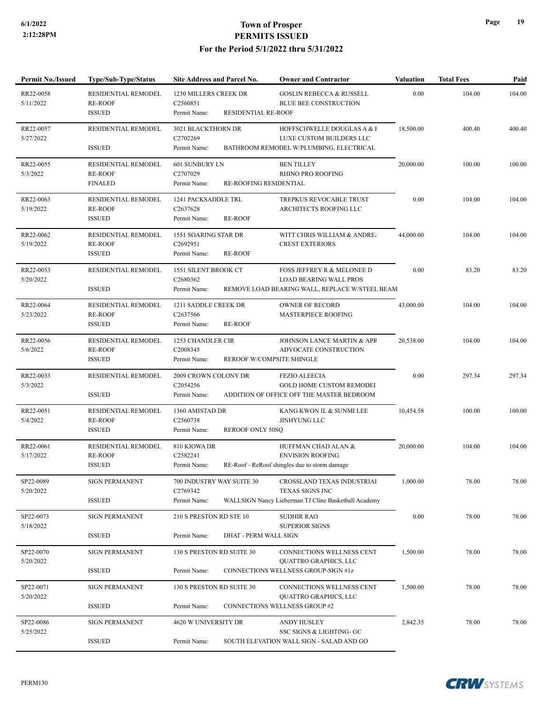| <b>Permit No./Issued</b> | <b>Type/Sub-Type/Status</b>                                    | Site Address and Parcel No.                                                           | <b>Owner and Contractor</b>                                                                                   | <b>Valuation</b> | <b>Total Fees</b> | Paid   |
|--------------------------|----------------------------------------------------------------|---------------------------------------------------------------------------------------|---------------------------------------------------------------------------------------------------------------|------------------|-------------------|--------|
| RR22-0058<br>5/11/2022   | RESIDENTIAL REMODEL<br><b>RE-ROOF</b>                          | 1230 MILLERS CREEK DR<br>C2560851                                                     | <b>GOSLIN REBECCA &amp; RUSSELL</b><br><b>BLUE BEE CONSTRUCTION</b>                                           | 0.00             | 104.00            | 104.00 |
| RR22-0057<br>5/27/2022   | <b>ISSUED</b><br>RESIDENTIAL REMODEL<br><b>ISSUED</b>          | RESIDENTIAL RE-ROOF<br>Permit Name:<br>3021 BLACKTHORN DR<br>C2702269<br>Permit Name: | HOFFSCHWELLE DOUGLAS A & 1<br>LUXE CUSTOM BUILDERS LLC<br>BATHROOM REMODEL W/PLUMBING, ELECTRICAL             | 18,500.00        | 400.40            | 400.40 |
| RR22-0055<br>5/3/2022    | <b>RESIDENTIAL REMODEL</b><br><b>RE-ROOF</b><br><b>FINALED</b> | 601 SUNBURY LN<br>C2707029<br>Permit Name:<br>RE-ROOFING RESIDENTIAL                  | <b>BEN TILLEY</b><br><b>RHINO PRO ROOFING</b>                                                                 | 20,000.00        | 100.00            | 100.00 |
| RR22-0063<br>5/19/2022   | <b>RESIDENTIAL REMODEL</b><br><b>RE-ROOF</b><br><b>ISSUED</b>  | 1241 PACKSADDLE TRL<br>C2637628<br><b>RE-ROOF</b><br>Permit Name:                     | TREPKUS REVOCABLE TRUST<br>ARCHITECTS ROOFING LLC                                                             | 0.00             | 104.00            | 104.00 |
| RR22-0062<br>5/19/2022   | RESIDENTIAL REMODEL<br><b>RE-ROOF</b><br><b>ISSUED</b>         | 1551 SOARING STAR DR<br>C2692951<br>Permit Name:<br><b>RE-ROOF</b>                    | WITT CHRIS WILLIAM & ANDRE.<br><b>CREST EXTERIORS</b>                                                         | 44,000.00        | 104.00            | 104.00 |
| RR22-0053<br>5/20/2022   | <b>RESIDENTIAL REMODEL</b><br><b>ISSUED</b>                    | 1551 SILENT BROOK CT<br>C2680362<br>Permit Name:                                      | FOSS JEFFREY R & MELONEE D<br><b>LOAD BEARING WALL PROS</b><br>REMOVE LOAD BEARING WALL, REPLACE W/STEEL BEAM | 0.00             | 83.20             | 83.20  |
| RR22-0064<br>5/23/2022   | RESIDENTIAL REMODEL<br><b>RE-ROOF</b><br><b>ISSUED</b>         | 1211 SADDLE CREEK DR<br>C <sub>2637566</sub><br><b>RE-ROOF</b><br>Permit Name:        | <b>OWNER OF RECORD</b><br><b>MASTERPIECE ROOFING</b>                                                          | 43,000.00        | 104.00            | 104.00 |
| RR22-0056<br>5/6/2022    | RESIDENTIAL REMODEL<br><b>RE-ROOF</b><br><b>ISSUED</b>         | 1253 CHANDLER CIR<br>C2008345<br>Permit Name:                                         | JOHNSON LANCE MARTIN & APF<br>ADVOCATE CONSTRUCTION<br>REROOF W/COMPSITE SHINGLE                              | 20,538.00        | 104.00            | 104.00 |
| RR22-0033<br>5/3/2022    | RESIDENTIAL REMODEL<br><b>ISSUED</b>                           | 2009 CROWN COLONY DR<br>C2054256<br>Permit Name:                                      | <b>FEZIO ALEECIA</b><br><b>GOLD HOME CUSTOM REMODEI</b><br>ADDITION OF OFFICE OFF THE MASTER BEDROOM          | 0.00             | 297.34            | 297.34 |
| RR22-0051<br>5/4/2022    | RESIDENTIAL REMODEL<br><b>RE-ROOF</b><br><b>ISSUED</b>         | 1360 AMISTAD DR<br>C2560738<br><b>REROOF ONLY 50SQ</b><br>Permit Name:                | KANG KWON IL & SUNMI LEE<br><b>JINHYUNG LLC</b>                                                               | 10,454.58        | 100.00            | 100.00 |
| RR22-0061<br>5/17/2022   | RESIDENTIAL REMODEL<br><b>RE-ROOF</b><br><b>ISSUED</b>         | 810 KIOWA DR<br>C2582241<br>Permit Name:                                              | HUFFMAN CHAD ALAN &<br><b>ENVISION ROOFING</b><br>RE-Roof - ReRoof shingles due to storm damage               | 20,000.00        | 104.00            | 104.00 |
| SP22-0089<br>5/20/2022   | <b>SIGN PERMANENT</b><br><b>ISSUED</b>                         | 700 INDUSTRY WAY SUITE 30<br>C2769342<br>Permit Name:                                 | CROSSLAND TEXAS INDUSTRIAI<br>TEXAS SIGNS INC<br>WALLSIGN Nancy Lieberman TJ Cline Basketball Academy         | 1,000.00         | 78.00             | 78.00  |
| SP22-0073<br>5/18/2022   | <b>SIGN PERMANENT</b><br><b>ISSUED</b>                         | 210 S PRESTON RD STE 10<br>Permit Name:<br>DHAT - PERM WALL SIGN                      | <b>SUDHIR RAO</b><br><b>SUPERIOR SIGNS</b>                                                                    | 0.00             | 78.00             | 78.00  |
| SP22-0070<br>5/20/2022   | <b>SIGN PERMANENT</b><br><b>ISSUED</b>                         | 130 S PRESTON RD SUITE 30<br>Permit Name:                                             | CONNECTIONS WELLNESS CENT<br><b>QUATTRO GRAPHICS, LLC</b><br>CONNECTIONS WELLNESS GROUP-SIGN #1z              | 1,500.00         | 78.00             | 78.00  |
| SP22-0071<br>5/20/2022   | <b>SIGN PERMANENT</b><br><b>ISSUED</b>                         | 130 S PRESTON RD SUITE 30<br>Permit Name:                                             | CONNECTIONS WELLNESS CENT<br><b>QUATTRO GRAPHICS, LLC</b><br>CONNECTIONS WELLNESS GROUP #2                    | 1,500.00         | 78.00             | 78.00  |
| SP22-0086<br>5/25/2022   | <b>SIGN PERMANENT</b><br><b>ISSUED</b>                         | 4620 W UNIVERSITY DR<br>Permit Name:                                                  | ANDY HUSLEY<br>SSC SIGNS & LIGHTING- GC<br>SOUTH ELEVATION WALL SIGN - SALAD AND GO                           | 2,842.35         | 78.00             | 78.00  |